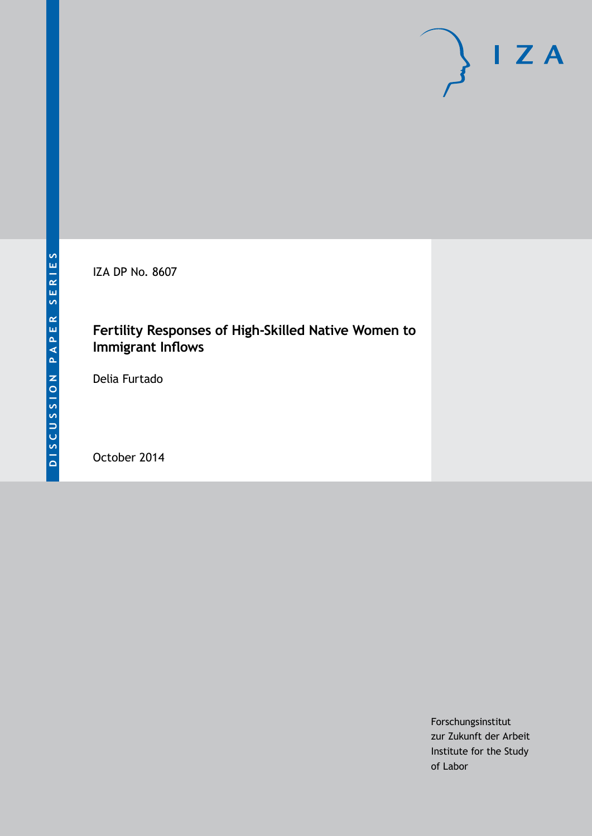IZA DP No. 8607

### **Fertility Responses of High-Skilled Native Women to Immigrant Inflows**

Delia Furtado

October 2014

Forschungsinstitut zur Zukunft der Arbeit Institute for the Study of Labor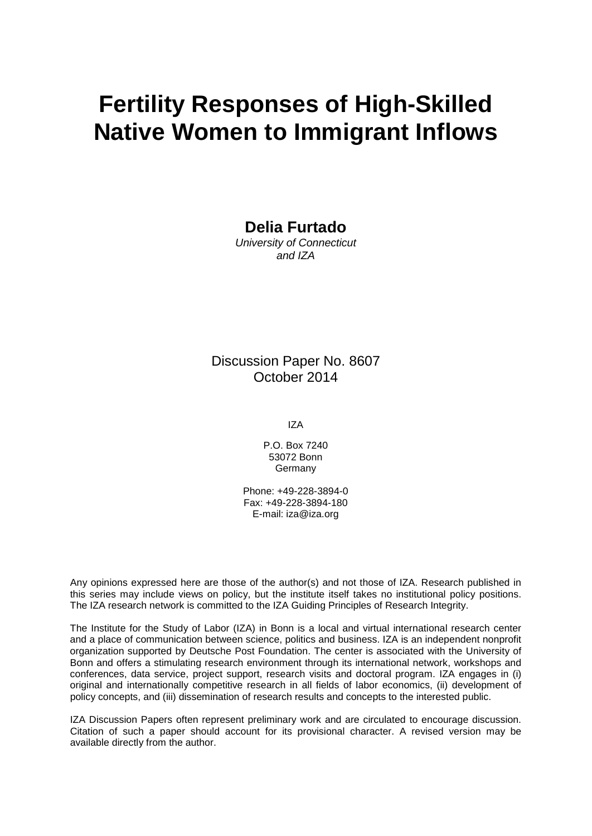# **Fertility Responses of High-Skilled Native Women to Immigrant Inflows**

**Delia Furtado**

*University of Connecticut and IZA*

Discussion Paper No. 8607 October 2014

IZA

P.O. Box 7240 53072 Bonn Germany

Phone: +49-228-3894-0 Fax: +49-228-3894-180 E-mail: [iza@iza.org](mailto:iza@iza.org)

Any opinions expressed here are those of the author(s) and not those of IZA. Research published in this series may include views on policy, but the institute itself takes no institutional policy positions. The IZA research network is committed to the IZA Guiding Principles of Research Integrity.

The Institute for the Study of Labor (IZA) in Bonn is a local and virtual international research center and a place of communication between science, politics and business. IZA is an independent nonprofit organization supported by Deutsche Post Foundation. The center is associated with the University of Bonn and offers a stimulating research environment through its international network, workshops and conferences, data service, project support, research visits and doctoral program. IZA engages in (i) original and internationally competitive research in all fields of labor economics, (ii) development of policy concepts, and (iii) dissemination of research results and concepts to the interested public.

IZA Discussion Papers often represent preliminary work and are circulated to encourage discussion. Citation of such a paper should account for its provisional character. A revised version may be available directly from the author.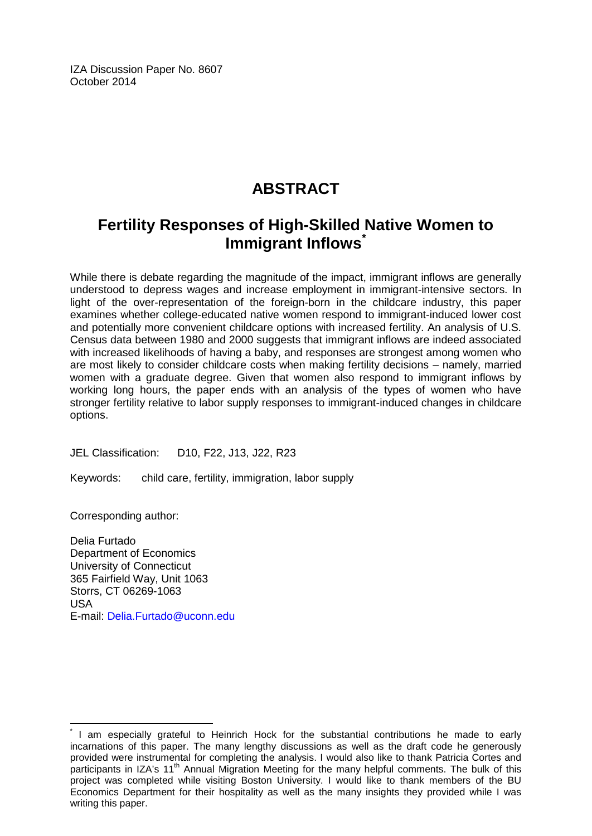IZA Discussion Paper No. 8607 October 2014

# **ABSTRACT**

## **Fertility Responses of High-Skilled Native Women to Immigrant Inflows[\\*](#page-2-0)**

While there is debate regarding the magnitude of the impact, immigrant inflows are generally understood to depress wages and increase employment in immigrant-intensive sectors. In light of the over-representation of the foreign-born in the childcare industry, this paper examines whether college-educated native women respond to immigrant-induced lower cost and potentially more convenient childcare options with increased fertility. An analysis of U.S. Census data between 1980 and 2000 suggests that immigrant inflows are indeed associated with increased likelihoods of having a baby, and responses are strongest among women who are most likely to consider childcare costs when making fertility decisions – namely, married women with a graduate degree. Given that women also respond to immigrant inflows by working long hours, the paper ends with an analysis of the types of women who have stronger fertility relative to labor supply responses to immigrant-induced changes in childcare options.

JEL Classification: D10, F22, J13, J22, R23

Keywords: child care, fertility, immigration, labor supply

Corresponding author:

Delia Furtado Department of Economics University of Connecticut 365 Fairfield Way, Unit 1063 Storrs, CT 06269-1063 USA E-mail: [Delia.Furtado@uconn.edu](mailto:Delia.Furtado@uconn.edu)

<span id="page-2-0"></span>I am especially grateful to Heinrich Hock for the substantial contributions he made to early incarnations of this paper. The many lengthy discussions as well as the draft code he generously provided were instrumental for completing the analysis. I would also like to thank Patricia Cortes and participants in IZA's 11<sup>th</sup> Annual Migration Meeting for the many helpful comments. The bulk of this project was completed while visiting Boston University. I would like to thank members of the BU Economics Department for their hospitality as well as the many insights they provided while I was writing this paper.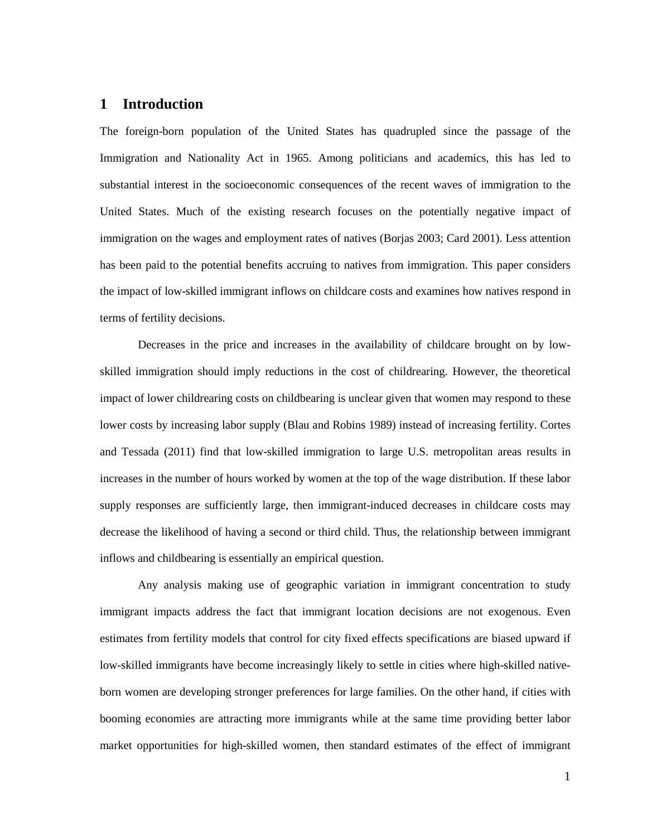### **1 Introduction**

The foreign-born population of the United States has quadrupled since the passage of the Immigration and Nationality Act in 1965. Among politicians and academics, this has led to substantial interest in the socioeconomic consequences of the recent waves of immigration to the United States. Much of the existing research focuses on the potentially negative impact of immigration on the wages and employment rates of natives (Borjas 2003; Card 2001). Less attention has been paid to the potential benefits accruing to natives from immigration. This paper considers the impact of low-skilled immigrant inflows on childcare costs and examines how natives respond in terms of fertility decisions.

Decreases in the price and increases in the availability of childcare brought on by lowskilled immigration should imply reductions in the cost of childrearing. However, the theoretical impact of lower childrearing costs on childbearing is unclear given that women may respond to these lower costs by increasing labor supply (Blau and Robins 1989) instead of increasing fertility. Cortes and Tessada (2011) find that low-skilled immigration to large U.S. metropolitan areas results in increases in the number of hours worked by women at the top of the wage distribution. If these labor supply responses are sufficiently large, then immigrant-induced decreases in childcare costs may decrease the likelihood of having a second or third child. Thus, the relationship between immigrant inflows and childbearing is essentially an empirical question.

Any analysis making use of geographic variation in immigrant concentration to study immigrant impacts address the fact that immigrant location decisions are not exogenous. Even estimates from fertility models that control for city fixed effects specifications are biased upward if low-skilled immigrants have become increasingly likely to settle in cities where high-skilled nativeborn women are developing stronger preferences for large families. On the other hand, if cities with booming economies are attracting more immigrants while at the same time providing better labor market opportunities for high-skilled women, then standard estimates of the effect of immigrant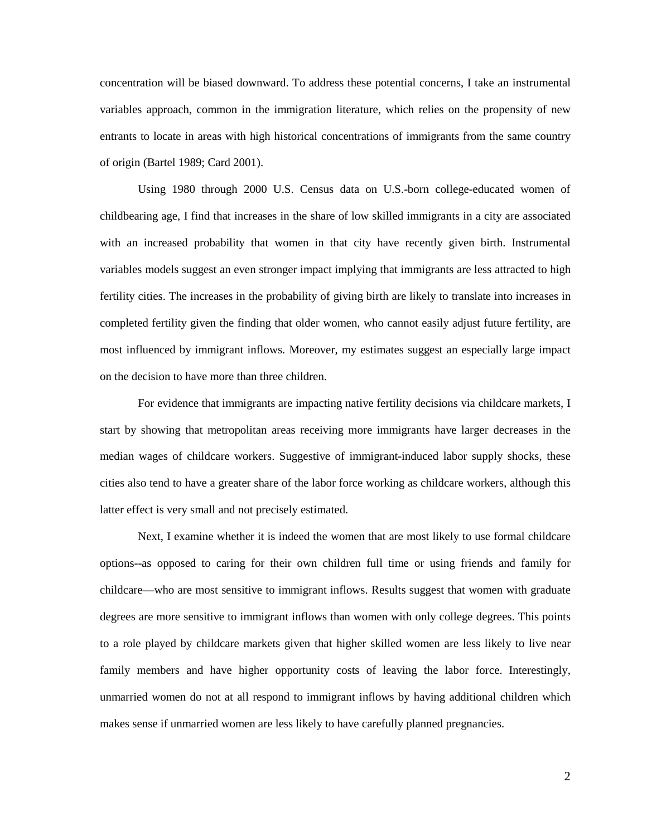concentration will be biased downward. To address these potential concerns, I take an instrumental variables approach, common in the immigration literature, which relies on the propensity of new entrants to locate in areas with high historical concentrations of immigrants from the same country of origin (Bartel 1989; Card 2001).

Using 1980 through 2000 U.S. Census data on U.S.-born college-educated women of childbearing age, I find that increases in the share of low skilled immigrants in a city are associated with an increased probability that women in that city have recently given birth. Instrumental variables models suggest an even stronger impact implying that immigrants are less attracted to high fertility cities. The increases in the probability of giving birth are likely to translate into increases in completed fertility given the finding that older women, who cannot easily adjust future fertility, are most influenced by immigrant inflows. Moreover, my estimates suggest an especially large impact on the decision to have more than three children.

For evidence that immigrants are impacting native fertility decisions via childcare markets, I start by showing that metropolitan areas receiving more immigrants have larger decreases in the median wages of childcare workers. Suggestive of immigrant-induced labor supply shocks, these cities also tend to have a greater share of the labor force working as childcare workers, although this latter effect is very small and not precisely estimated.

Next, I examine whether it is indeed the women that are most likely to use formal childcare options--as opposed to caring for their own children full time or using friends and family for childcare—who are most sensitive to immigrant inflows. Results suggest that women with graduate degrees are more sensitive to immigrant inflows than women with only college degrees. This points to a role played by childcare markets given that higher skilled women are less likely to live near family members and have higher opportunity costs of leaving the labor force. Interestingly, unmarried women do not at all respond to immigrant inflows by having additional children which makes sense if unmarried women are less likely to have carefully planned pregnancies.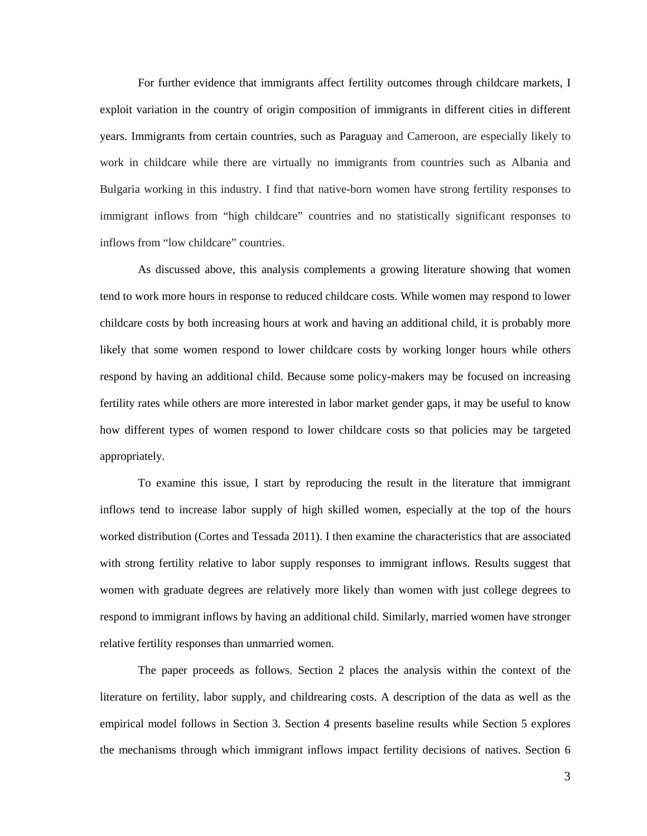For further evidence that immigrants affect fertility outcomes through childcare markets, I exploit variation in the country of origin composition of immigrants in different cities in different years. Immigrants from certain countries, such as Paraguay and Cameroon, are especially likely to work in childcare while there are virtually no immigrants from countries such as Albania and Bulgaria working in this industry. I find that native-born women have strong fertility responses to immigrant inflows from "high childcare" countries and no statistically significant responses to inflows from "low childcare" countries.

As discussed above, this analysis complements a growing literature showing that women tend to work more hours in response to reduced childcare costs. While women may respond to lower childcare costs by both increasing hours at work and having an additional child, it is probably more likely that some women respond to lower childcare costs by working longer hours while others respond by having an additional child. Because some policy-makers may be focused on increasing fertility rates while others are more interested in labor market gender gaps, it may be useful to know how different types of women respond to lower childcare costs so that policies may be targeted appropriately.

To examine this issue, I start by reproducing the result in the literature that immigrant inflows tend to increase labor supply of high skilled women, especially at the top of the hours worked distribution (Cortes and Tessada 2011). I then examine the characteristics that are associated with strong fertility relative to labor supply responses to immigrant inflows. Results suggest that women with graduate degrees are relatively more likely than women with just college degrees to respond to immigrant inflows by having an additional child. Similarly, married women have stronger relative fertility responses than unmarried women.

The paper proceeds as follows. Section 2 places the analysis within the context of the literature on fertility, labor supply, and childrearing costs. A description of the data as well as the empirical model follows in Section 3. Section 4 presents baseline results while Section 5 explores the mechanisms through which immigrant inflows impact fertility decisions of natives. Section 6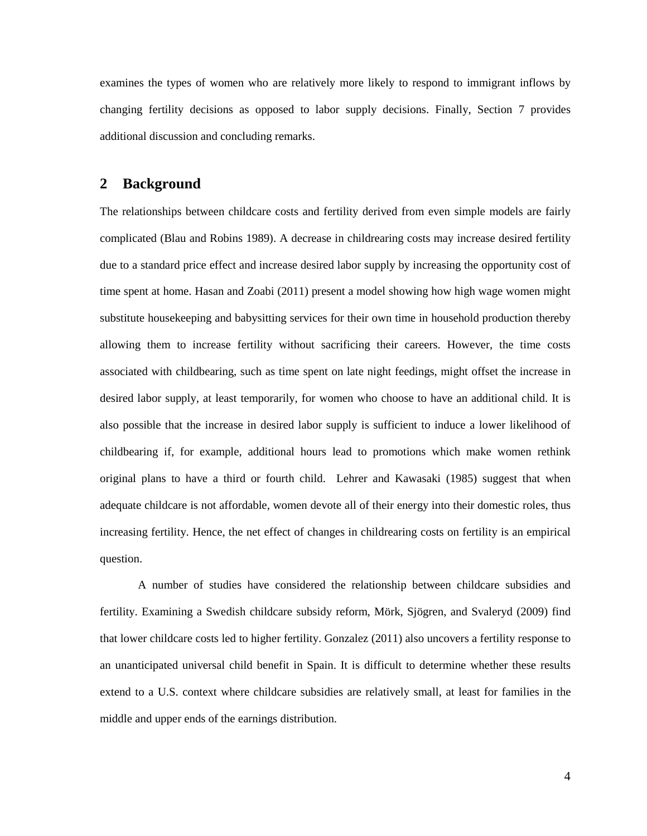examines the types of women who are relatively more likely to respond to immigrant inflows by changing fertility decisions as opposed to labor supply decisions. Finally, Section 7 provides additional discussion and concluding remarks.

### **2 Background**

The relationships between childcare costs and fertility derived from even simple models are fairly complicated (Blau and Robins 1989). A decrease in childrearing costs may increase desired fertility due to a standard price effect and increase desired labor supply by increasing the opportunity cost of time spent at home. Hasan and Zoabi (2011) present a model showing how high wage women might substitute housekeeping and babysitting services for their own time in household production thereby allowing them to increase fertility without sacrificing their careers. However, the time costs associated with childbearing, such as time spent on late night feedings, might offset the increase in desired labor supply, at least temporarily, for women who choose to have an additional child. It is also possible that the increase in desired labor supply is sufficient to induce a lower likelihood of childbearing if, for example, additional hours lead to promotions which make women rethink original plans to have a third or fourth child. Lehrer and Kawasaki (1985) suggest that when adequate childcare is not affordable, women devote all of their energy into their domestic roles, thus increasing fertility. Hence, the net effect of changes in childrearing costs on fertility is an empirical question.

A number of studies have considered the relationship between childcare subsidies and fertility. Examining a Swedish childcare subsidy reform, Mörk, Sjögren, and Svaleryd (2009) find that lower childcare costs led to higher fertility. Gonzalez (2011) also uncovers a fertility response to an unanticipated universal child benefit in Spain. It is difficult to determine whether these results extend to a U.S. context where childcare subsidies are relatively small, at least for families in the middle and upper ends of the earnings distribution.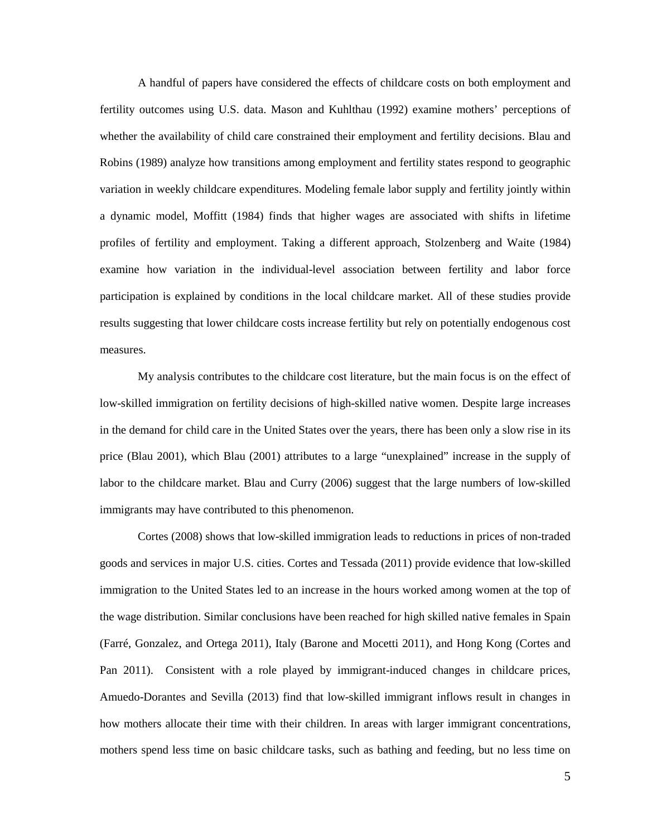A handful of papers have considered the effects of childcare costs on both employment and fertility outcomes using U.S. data. Mason and Kuhlthau (1992) examine mothers' perceptions of whether the availability of child care constrained their employment and fertility decisions. Blau and Robins (1989) analyze how transitions among employment and fertility states respond to geographic variation in weekly childcare expenditures. Modeling female labor supply and fertility jointly within a dynamic model, Moffitt (1984) finds that higher wages are associated with shifts in lifetime profiles of fertility and employment. Taking a different approach, Stolzenberg and Waite (1984) examine how variation in the individual-level association between fertility and labor force participation is explained by conditions in the local childcare market. All of these studies provide results suggesting that lower childcare costs increase fertility but rely on potentially endogenous cost measures.

My analysis contributes to the childcare cost literature, but the main focus is on the effect of low-skilled immigration on fertility decisions of high-skilled native women. Despite large increases in the demand for child care in the United States over the years, there has been only a slow rise in its price (Blau 2001), which Blau (2001) attributes to a large "unexplained" increase in the supply of labor to the childcare market. Blau and Curry (2006) suggest that the large numbers of low-skilled immigrants may have contributed to this phenomenon.

Cortes (2008) shows that low-skilled immigration leads to reductions in prices of non-traded goods and services in major U.S. cities. Cortes and Tessada (2011) provide evidence that low-skilled immigration to the United States led to an increase in the hours worked among women at the top of the wage distribution. Similar conclusions have been reached for high skilled native females in Spain (Farré, Gonzalez, and Ortega 2011), Italy (Barone and Mocetti 2011), and Hong Kong (Cortes and Pan 2011). Consistent with a role played by immigrant-induced changes in childcare prices, Amuedo-Dorantes and Sevilla (2013) find that low-skilled immigrant inflows result in changes in how mothers allocate their time with their children. In areas with larger immigrant concentrations, mothers spend less time on basic childcare tasks, such as bathing and feeding, but no less time on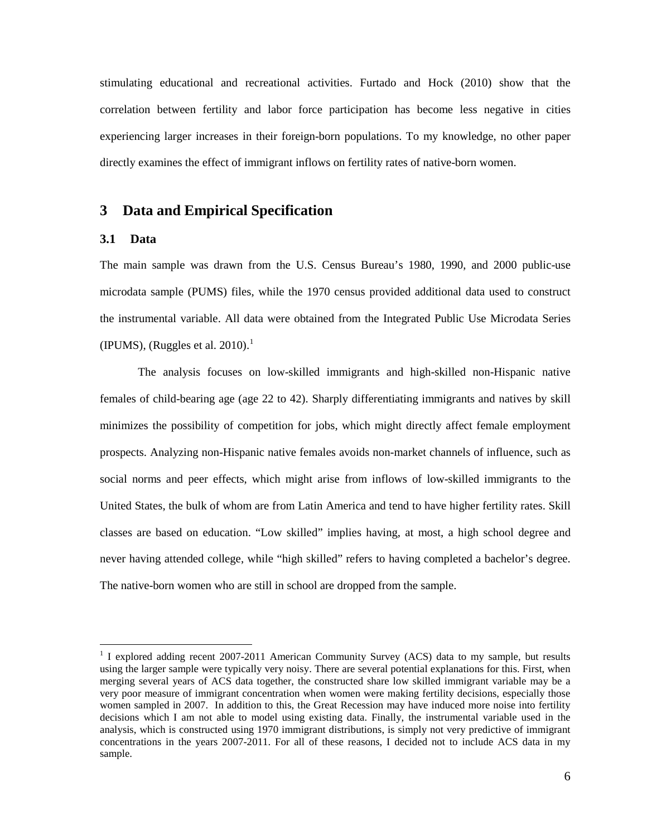stimulating educational and recreational activities. Furtado and Hock (2010) show that the correlation between fertility and labor force participation has become less negative in cities experiencing larger increases in their foreign-born populations. To my knowledge, no other paper directly examines the effect of immigrant inflows on fertility rates of native-born women.

### **3 Data and Empirical Specification**

### **3.1 Data**

The main sample was drawn from the U.S. Census Bureau's 1980, 1990, and 2000 public-use microdata sample (PUMS) files, while the 1970 census provided additional data used to construct the instrumental variable. All data were obtained from the Integrated Public Use Microdata Series (IPUMS), (Ruggles et al. 2010).<sup>1</sup>

The analysis focuses on low-skilled immigrants and high-skilled non-Hispanic native females of child-bearing age (age 22 to 42). Sharply differentiating immigrants and natives by skill minimizes the possibility of competition for jobs, which might directly affect female employment prospects. Analyzing non-Hispanic native females avoids non-market channels of influence, such as social norms and peer effects, which might arise from inflows of low-skilled immigrants to the United States, the bulk of whom are from Latin America and tend to have higher fertility rates. Skill classes are based on education. "Low skilled" implies having, at most, a high school degree and never having attended college, while "high skilled" refers to having completed a bachelor's degree. The native-born women who are still in school are dropped from the sample.

<span id="page-8-0"></span><sup>&</sup>lt;sup>1</sup> I explored adding recent 2007-2011 American Community Survey (ACS) data to my sample, but results using the larger sample were typically very noisy. There are several potential explanations for this. First, when merging several years of ACS data together, the constructed share low skilled immigrant variable may be a very poor measure of immigrant concentration when women were making fertility decisions, especially those women sampled in 2007. In addition to this, the Great Recession may have induced more noise into fertility decisions which I am not able to model using existing data. Finally, the instrumental variable used in the analysis, which is constructed using 1970 immigrant distributions, is simply not very predictive of immigrant concentrations in the years 2007-2011. For all of these reasons, I decided not to include ACS data in my sample.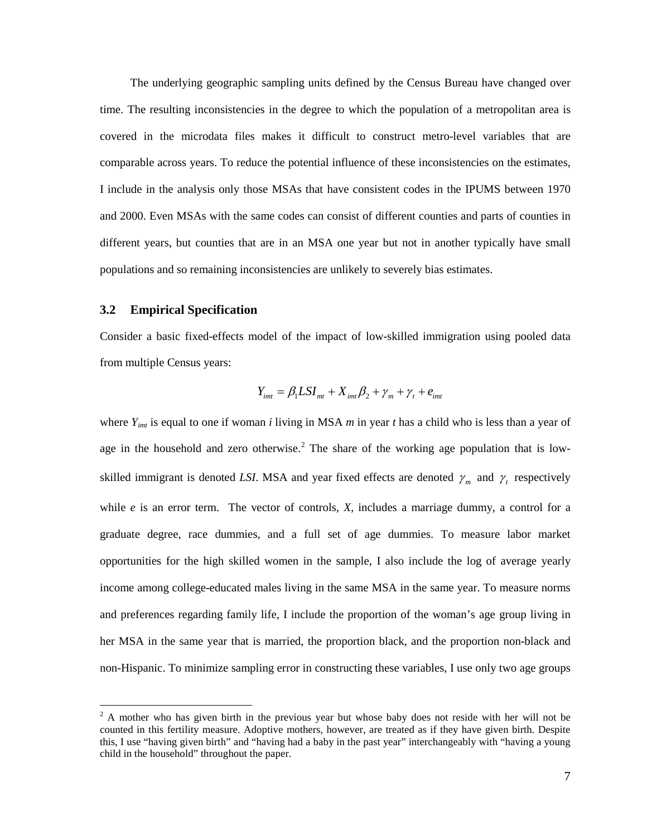The underlying geographic sampling units defined by the Census Bureau have changed over time. The resulting inconsistencies in the degree to which the population of a metropolitan area is covered in the microdata files makes it difficult to construct metro-level variables that are comparable across years. To reduce the potential influence of these inconsistencies on the estimates, I include in the analysis only those MSAs that have consistent codes in the IPUMS between 1970 and 2000. Even MSAs with the same codes can consist of different counties and parts of counties in different years, but counties that are in an MSA one year but not in another typically have small populations and so remaining inconsistencies are unlikely to severely bias estimates.

### **3.2 Empirical Specification**

Consider a basic fixed-effects model of the impact of low-skilled immigration using pooled data from multiple Census years:

$$
Y_{\text{int}} = \beta_1 L S I_{\text{int}} + X_{\text{int}} \beta_2 + \gamma_{\text{m}} + \gamma_t + e_{\text{int}}
$$

where *Yimt* is equal to one if woman *i* living in MSA *m* in year *t* has a child who is less than a year of age in the household and zero otherwise.<sup>[2](#page-8-0)</sup> The share of the working age population that is lowskilled immigrant is denoted *LSI*. MSA and year fixed effects are denoted  $\gamma_m$  and  $\gamma_t$  respectively while  $e$  is an error term. The vector of controls,  $X$ , includes a marriage dummy, a control for a graduate degree, race dummies, and a full set of age dummies. To measure labor market opportunities for the high skilled women in the sample, I also include the log of average yearly income among college-educated males living in the same MSA in the same year. To measure norms and preferences regarding family life, I include the proportion of the woman's age group living in her MSA in the same year that is married, the proportion black, and the proportion non-black and non-Hispanic. To minimize sampling error in constructing these variables, I use only two age groups

<span id="page-9-0"></span> $2A$  mother who has given birth in the previous year but whose baby does not reside with her will not be counted in this fertility measure. Adoptive mothers, however, are treated as if they have given birth. Despite this, I use "having given birth" and "having had a baby in the past year" interchangeably with "having a young child in the household" throughout the paper.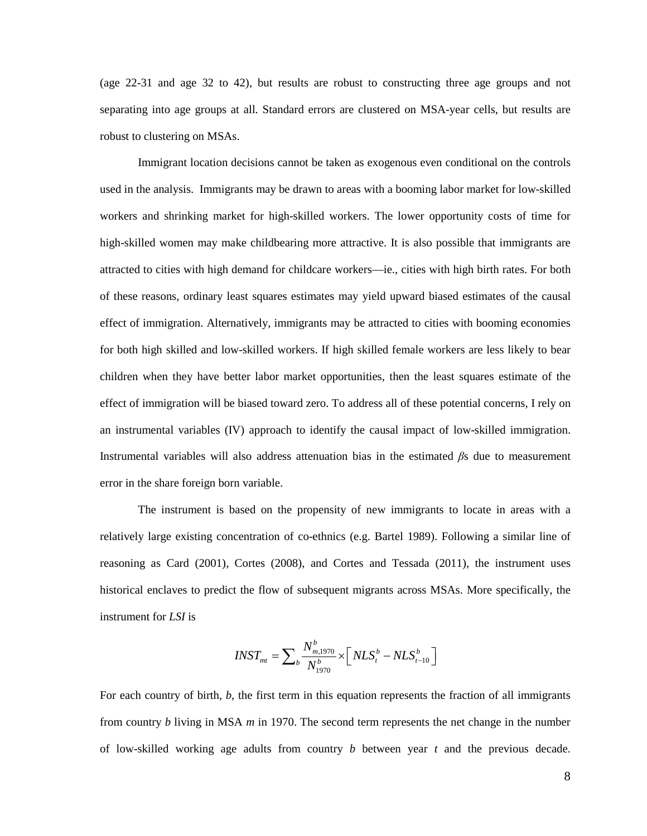(age 22-31 and age 32 to 42), but results are robust to constructing three age groups and not separating into age groups at all. Standard errors are clustered on MSA-year cells, but results are robust to clustering on MSAs.

Immigrant location decisions cannot be taken as exogenous even conditional on the controls used in the analysis. Immigrants may be drawn to areas with a booming labor market for low-skilled workers and shrinking market for high-skilled workers. The lower opportunity costs of time for high-skilled women may make childbearing more attractive. It is also possible that immigrants are attracted to cities with high demand for childcare workers—ie., cities with high birth rates. For both of these reasons, ordinary least squares estimates may yield upward biased estimates of the causal effect of immigration. Alternatively, immigrants may be attracted to cities with booming economies for both high skilled and low-skilled workers. If high skilled female workers are less likely to bear children when they have better labor market opportunities, then the least squares estimate of the effect of immigration will be biased toward zero. To address all of these potential concerns, I rely on an instrumental variables (IV) approach to identify the causal impact of low-skilled immigration. Instrumental variables will also address attenuation bias in the estimated *β*s due to measurement error in the share foreign born variable.

The instrument is based on the propensity of new immigrants to locate in areas with a relatively large existing concentration of co-ethnics (e.g. Bartel 1989). Following a similar line of reasoning as Card (2001), Cortes (2008), and Cortes and Tessada (2011), the instrument uses historical enclaves to predict the flow of subsequent migrants across MSAs. More specifically, the instrument for *LSI* is

$$
INST_{mt} = \sum_{b} \frac{N_{m,1970}^{b}}{N_{1970}^{b}} \times \left[ NLS_{t}^{b} - NLS_{t-10}^{b} \right]
$$

For each country of birth, *b*, the first term in this equation represents the fraction of all immigrants from country *b* living in MSA *m* in 1970. The second term represents the net change in the number of low-skilled working age adults from country *b* between year *t* and the previous decade.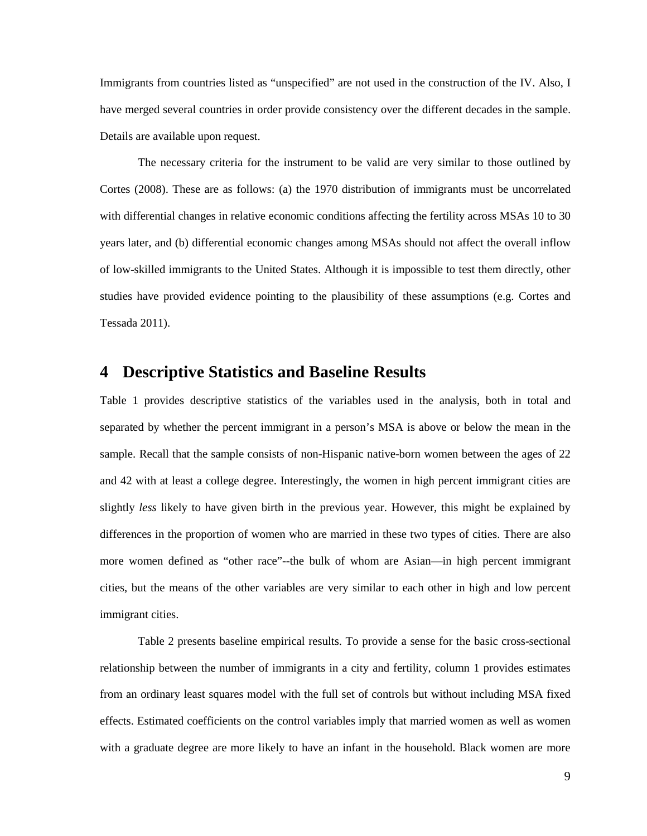Immigrants from countries listed as "unspecified" are not used in the construction of the IV. Also, I have merged several countries in order provide consistency over the different decades in the sample. Details are available upon request.

The necessary criteria for the instrument to be valid are very similar to those outlined by Cortes (2008). These are as follows: (a) the 1970 distribution of immigrants must be uncorrelated with differential changes in relative economic conditions affecting the fertility across MSAs 10 to 30 years later, and (b) differential economic changes among MSAs should not affect the overall inflow of low-skilled immigrants to the United States. Although it is impossible to test them directly, other studies have provided evidence pointing to the plausibility of these assumptions (e.g. Cortes and Tessada 2011).

### **4 Descriptive Statistics and Baseline Results**

Table 1 provides descriptive statistics of the variables used in the analysis, both in total and separated by whether the percent immigrant in a person's MSA is above or below the mean in the sample. Recall that the sample consists of non-Hispanic native-born women between the ages of 22 and 42 with at least a college degree. Interestingly, the women in high percent immigrant cities are slightly *less* likely to have given birth in the previous year. However, this might be explained by differences in the proportion of women who are married in these two types of cities. There are also more women defined as "other race"--the bulk of whom are Asian—in high percent immigrant cities, but the means of the other variables are very similar to each other in high and low percent immigrant cities.

Table 2 presents baseline empirical results. To provide a sense for the basic cross-sectional relationship between the number of immigrants in a city and fertility, column 1 provides estimates from an ordinary least squares model with the full set of controls but without including MSA fixed effects. Estimated coefficients on the control variables imply that married women as well as women with a graduate degree are more likely to have an infant in the household. Black women are more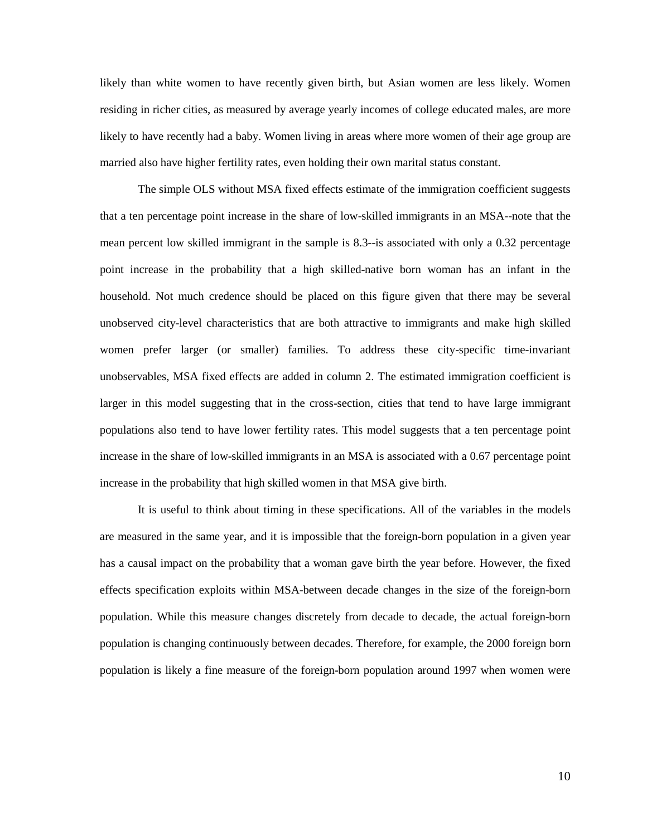likely than white women to have recently given birth, but Asian women are less likely. Women residing in richer cities, as measured by average yearly incomes of college educated males, are more likely to have recently had a baby. Women living in areas where more women of their age group are married also have higher fertility rates, even holding their own marital status constant.

The simple OLS without MSA fixed effects estimate of the immigration coefficient suggests that a ten percentage point increase in the share of low-skilled immigrants in an MSA--note that the mean percent low skilled immigrant in the sample is 8.3--is associated with only a 0.32 percentage point increase in the probability that a high skilled-native born woman has an infant in the household. Not much credence should be placed on this figure given that there may be several unobserved city-level characteristics that are both attractive to immigrants and make high skilled women prefer larger (or smaller) families. To address these city-specific time-invariant unobservables, MSA fixed effects are added in column 2. The estimated immigration coefficient is larger in this model suggesting that in the cross-section, cities that tend to have large immigrant populations also tend to have lower fertility rates. This model suggests that a ten percentage point increase in the share of low-skilled immigrants in an MSA is associated with a 0.67 percentage point increase in the probability that high skilled women in that MSA give birth.

It is useful to think about timing in these specifications. All of the variables in the models are measured in the same year, and it is impossible that the foreign-born population in a given year has a causal impact on the probability that a woman gave birth the year before. However, the fixed effects specification exploits within MSA-between decade changes in the size of the foreign-born population. While this measure changes discretely from decade to decade, the actual foreign-born population is changing continuously between decades. Therefore, for example, the 2000 foreign born population is likely a fine measure of the foreign-born population around 1997 when women were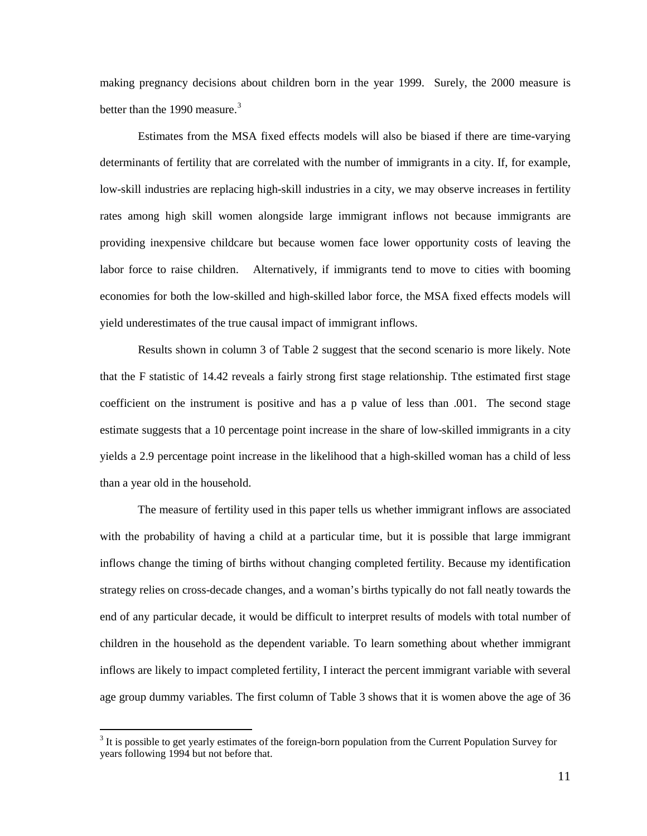making pregnancy decisions about children born in the year 1999. Surely, the 2000 measure is better than the 1990 measure.<sup>[3](#page-9-0)</sup>

Estimates from the MSA fixed effects models will also be biased if there are time-varying determinants of fertility that are correlated with the number of immigrants in a city. If, for example, low-skill industries are replacing high-skill industries in a city, we may observe increases in fertility rates among high skill women alongside large immigrant inflows not because immigrants are providing inexpensive childcare but because women face lower opportunity costs of leaving the labor force to raise children. Alternatively, if immigrants tend to move to cities with booming economies for both the low-skilled and high-skilled labor force, the MSA fixed effects models will yield underestimates of the true causal impact of immigrant inflows.

Results shown in column 3 of Table 2 suggest that the second scenario is more likely. Note that the F statistic of 14.42 reveals a fairly strong first stage relationship. Tthe estimated first stage coefficient on the instrument is positive and has a p value of less than .001. The second stage estimate suggests that a 10 percentage point increase in the share of low-skilled immigrants in a city yields a 2.9 percentage point increase in the likelihood that a high-skilled woman has a child of less than a year old in the household.

The measure of fertility used in this paper tells us whether immigrant inflows are associated with the probability of having a child at a particular time, but it is possible that large immigrant inflows change the timing of births without changing completed fertility. Because my identification strategy relies on cross-decade changes, and a woman's births typically do not fall neatly towards the end of any particular decade, it would be difficult to interpret results of models with total number of children in the household as the dependent variable. To learn something about whether immigrant inflows are likely to impact completed fertility, I interact the percent immigrant variable with several age group dummy variables. The first column of Table 3 shows that it is women above the age of 36

<span id="page-13-0"></span><sup>&</sup>lt;sup>3</sup> It is possible to get yearly estimates of the foreign-born population from the Current Population Survey for years following 1994 but not before that.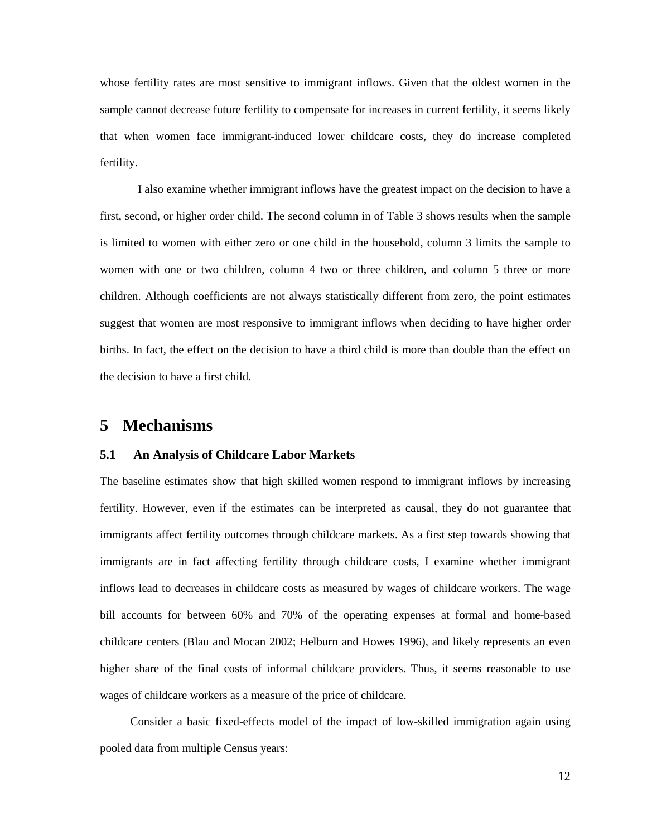whose fertility rates are most sensitive to immigrant inflows. Given that the oldest women in the sample cannot decrease future fertility to compensate for increases in current fertility, it seems likely that when women face immigrant-induced lower childcare costs, they do increase completed fertility.

I also examine whether immigrant inflows have the greatest impact on the decision to have a first, second, or higher order child. The second column in of Table 3 shows results when the sample is limited to women with either zero or one child in the household, column 3 limits the sample to women with one or two children, column 4 two or three children, and column 5 three or more children. Although coefficients are not always statistically different from zero, the point estimates suggest that women are most responsive to immigrant inflows when deciding to have higher order births. In fact, the effect on the decision to have a third child is more than double than the effect on the decision to have a first child.

### **5 Mechanisms**

### **5.1 An Analysis of Childcare Labor Markets**

The baseline estimates show that high skilled women respond to immigrant inflows by increasing fertility. However, even if the estimates can be interpreted as causal, they do not guarantee that immigrants affect fertility outcomes through childcare markets. As a first step towards showing that immigrants are in fact affecting fertility through childcare costs, I examine whether immigrant inflows lead to decreases in childcare costs as measured by wages of childcare workers. The wage bill accounts for between 60% and 70% of the operating expenses at formal and home-based childcare centers (Blau and Mocan 2002; Helburn and Howes 1996), and likely represents an even higher share of the final costs of informal childcare providers. Thus, it seems reasonable to use wages of childcare workers as a measure of the price of childcare.

Consider a basic fixed-effects model of the impact of low-skilled immigration again using pooled data from multiple Census years: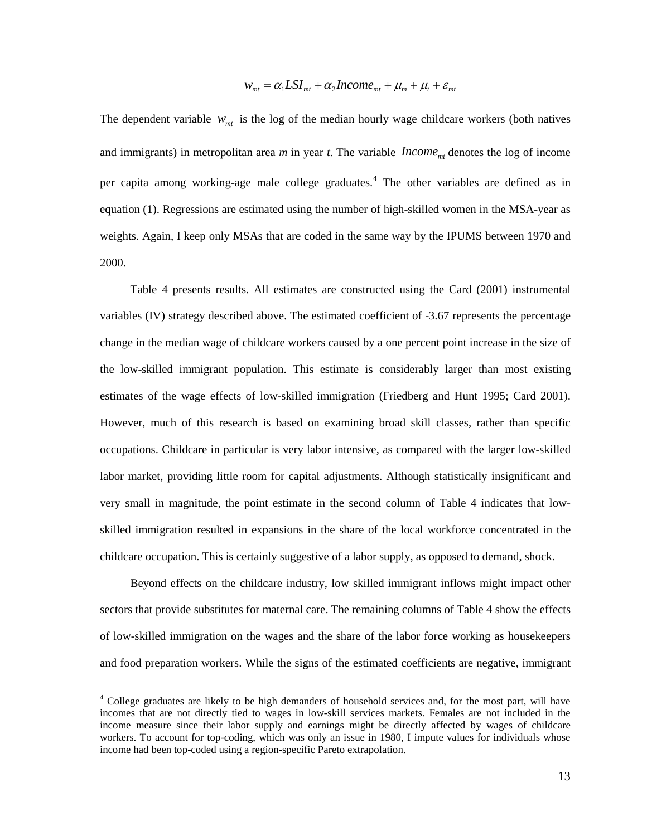$$
w_{mt} = \alpha_1 L S I_{mt} + \alpha_2 Income_{mt} + \mu_m + \mu_t + \varepsilon_{mt}
$$

The dependent variable  $W_{m\textit{t}}$  is the log of the median hourly wage childcare workers (both natives and immigrants) in metropolitan area  $m$  in year  $t$ . The variable  $Income_{mt}$  denotes the log of income per capita among working-age male college graduates.<sup>[4](#page-13-0)</sup> The other variables are defined as in equation (1). Regressions are estimated using the number of high-skilled women in the MSA-year as weights. Again, I keep only MSAs that are coded in the same way by the IPUMS between 1970 and 2000.

Table 4 presents results. All estimates are constructed using the Card (2001) instrumental variables (IV) strategy described above. The estimated coefficient of -3.67 represents the percentage change in the median wage of childcare workers caused by a one percent point increase in the size of the low-skilled immigrant population. This estimate is considerably larger than most existing estimates of the wage effects of low-skilled immigration (Friedberg and Hunt 1995; Card 2001). However, much of this research is based on examining broad skill classes, rather than specific occupations. Childcare in particular is very labor intensive, as compared with the larger low-skilled labor market, providing little room for capital adjustments. Although statistically insignificant and very small in magnitude, the point estimate in the second column of Table 4 indicates that lowskilled immigration resulted in expansions in the share of the local workforce concentrated in the childcare occupation. This is certainly suggestive of a labor supply, as opposed to demand, shock.

Beyond effects on the childcare industry, low skilled immigrant inflows might impact other sectors that provide substitutes for maternal care. The remaining columns of Table 4 show the effects of low-skilled immigration on the wages and the share of the labor force working as housekeepers and food preparation workers. While the signs of the estimated coefficients are negative, immigrant

<span id="page-15-0"></span> <sup>4</sup> College graduates are likely to be high demanders of household services and, for the most part, will have incomes that are not directly tied to wages in low-skill services markets. Females are not included in the income measure since their labor supply and earnings might be directly affected by wages of childcare workers. To account for top-coding, which was only an issue in 1980, I impute values for individuals whose income had been top-coded using a region-specific Pareto extrapolation.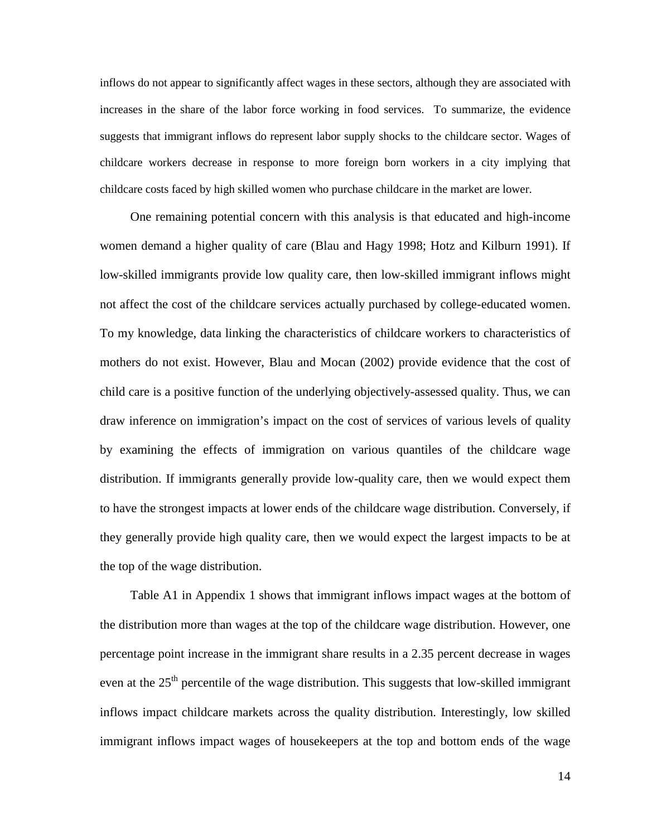inflows do not appear to significantly affect wages in these sectors, although they are associated with increases in the share of the labor force working in food services. To summarize, the evidence suggests that immigrant inflows do represent labor supply shocks to the childcare sector. Wages of childcare workers decrease in response to more foreign born workers in a city implying that childcare costs faced by high skilled women who purchase childcare in the market are lower.

One remaining potential concern with this analysis is that educated and high-income women demand a higher quality of care (Blau and Hagy 1998; Hotz and Kilburn 1991). If low-skilled immigrants provide low quality care, then low-skilled immigrant inflows might not affect the cost of the childcare services actually purchased by college-educated women. To my knowledge, data linking the characteristics of childcare workers to characteristics of mothers do not exist. However, Blau and Mocan (2002) provide evidence that the cost of child care is a positive function of the underlying objectively-assessed quality. Thus, we can draw inference on immigration's impact on the cost of services of various levels of quality by examining the effects of immigration on various quantiles of the childcare wage distribution. If immigrants generally provide low-quality care, then we would expect them to have the strongest impacts at lower ends of the childcare wage distribution. Conversely, if they generally provide high quality care, then we would expect the largest impacts to be at the top of the wage distribution.

Table A1 in Appendix 1 shows that immigrant inflows impact wages at the bottom of the distribution more than wages at the top of the childcare wage distribution. However, one percentage point increase in the immigrant share results in a 2.35 percent decrease in wages even at the 25<sup>th</sup> percentile of the wage distribution. This suggests that low-skilled immigrant inflows impact childcare markets across the quality distribution. Interestingly, low skilled immigrant inflows impact wages of housekeepers at the top and bottom ends of the wage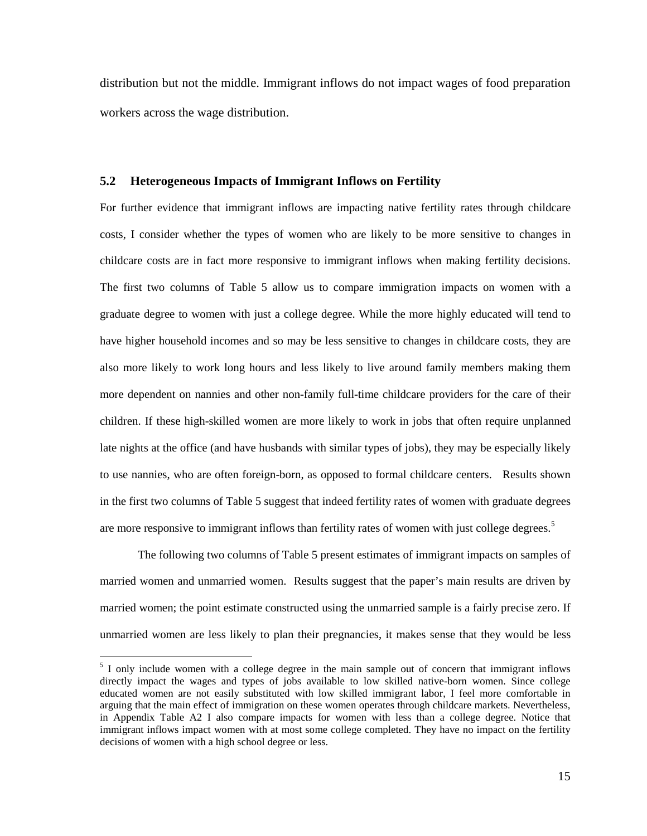distribution but not the middle. Immigrant inflows do not impact wages of food preparation workers across the wage distribution.

### **5.2 Heterogeneous Impacts of Immigrant Inflows on Fertility**

For further evidence that immigrant inflows are impacting native fertility rates through childcare costs, I consider whether the types of women who are likely to be more sensitive to changes in childcare costs are in fact more responsive to immigrant inflows when making fertility decisions. The first two columns of Table 5 allow us to compare immigration impacts on women with a graduate degree to women with just a college degree. While the more highly educated will tend to have higher household incomes and so may be less sensitive to changes in childcare costs, they are also more likely to work long hours and less likely to live around family members making them more dependent on nannies and other non-family full-time childcare providers for the care of their children. If these high-skilled women are more likely to work in jobs that often require unplanned late nights at the office (and have husbands with similar types of jobs), they may be especially likely to use nannies, who are often foreign-born, as opposed to formal childcare centers. Results shown in the first two columns of Table 5 suggest that indeed fertility rates of women with graduate degrees are more responsive to immigrant inflows than fertility rates of women with just college degrees.<sup>[5](#page-15-0)</sup>

The following two columns of Table 5 present estimates of immigrant impacts on samples of married women and unmarried women. Results suggest that the paper's main results are driven by married women; the point estimate constructed using the unmarried sample is a fairly precise zero. If unmarried women are less likely to plan their pregnancies, it makes sense that they would be less

<span id="page-17-0"></span><sup>&</sup>lt;sup>5</sup> I only include women with a college degree in the main sample out of concern that immigrant inflows directly impact the wages and types of jobs available to low skilled native-born women. Since college educated women are not easily substituted with low skilled immigrant labor, I feel more comfortable in arguing that the main effect of immigration on these women operates through childcare markets. Nevertheless, in Appendix Table A2 I also compare impacts for women with less than a college degree. Notice that immigrant inflows impact women with at most some college completed. They have no impact on the fertility decisions of women with a high school degree or less.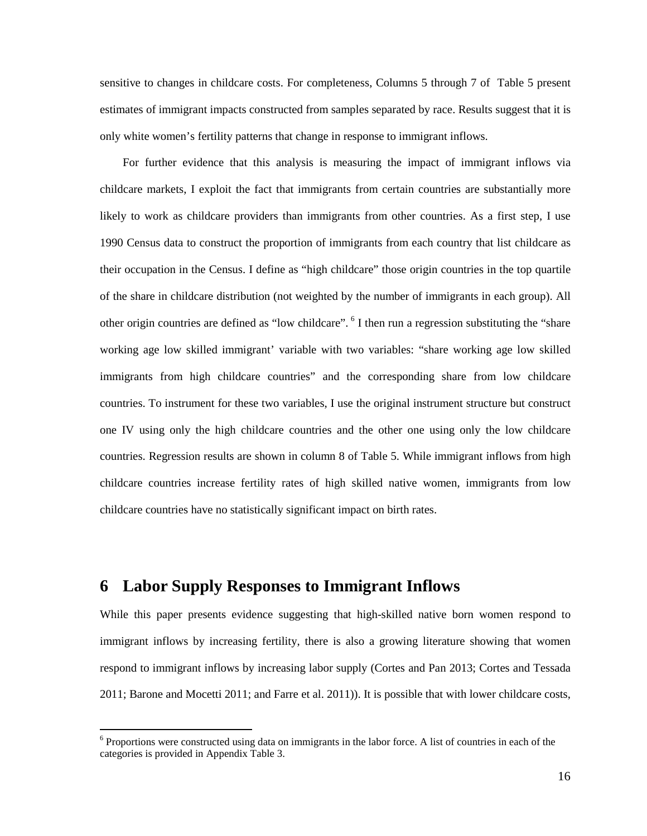sensitive to changes in childcare costs. For completeness, Columns 5 through 7 of Table 5 present estimates of immigrant impacts constructed from samples separated by race. Results suggest that it is only white women's fertility patterns that change in response to immigrant inflows.

For further evidence that this analysis is measuring the impact of immigrant inflows via childcare markets, I exploit the fact that immigrants from certain countries are substantially more likely to work as childcare providers than immigrants from other countries. As a first step, I use 1990 Census data to construct the proportion of immigrants from each country that list childcare as their occupation in the Census. I define as "high childcare" those origin countries in the top quartile of the share in childcare distribution (not weighted by the number of immigrants in each group). All other origin countries are defined as "low childcare". [6](#page-17-0) I then run a regression substituting the "share working age low skilled immigrant' variable with two variables: "share working age low skilled immigrants from high childcare countries" and the corresponding share from low childcare countries. To instrument for these two variables, I use the original instrument structure but construct one IV using only the high childcare countries and the other one using only the low childcare countries. Regression results are shown in column 8 of Table 5. While immigrant inflows from high childcare countries increase fertility rates of high skilled native women, immigrants from low childcare countries have no statistically significant impact on birth rates.

### **6 Labor Supply Responses to Immigrant Inflows**

While this paper presents evidence suggesting that high-skilled native born women respond to immigrant inflows by increasing fertility, there is also a growing literature showing that women respond to immigrant inflows by increasing labor supply (Cortes and Pan 2013; Cortes and Tessada 2011; Barone and Mocetti 2011; and Farre et al. 2011)). It is possible that with lower childcare costs,

<span id="page-18-0"></span><sup>&</sup>lt;sup>6</sup> Proportions were constructed using data on immigrants in the labor force. A list of countries in each of the categories is provided in Appendix Table 3.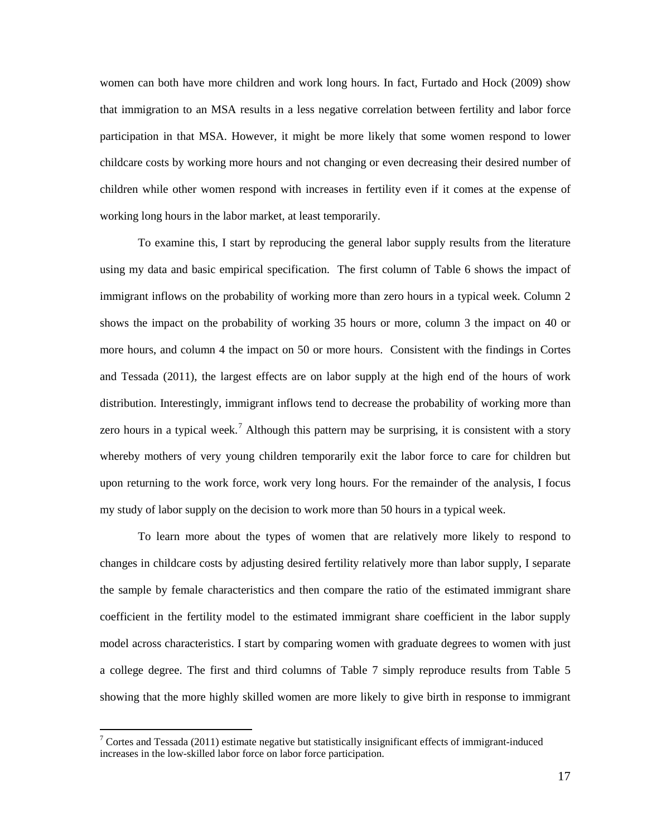women can both have more children and work long hours. In fact, Furtado and Hock (2009) show that immigration to an MSA results in a less negative correlation between fertility and labor force participation in that MSA. However, it might be more likely that some women respond to lower childcare costs by working more hours and not changing or even decreasing their desired number of children while other women respond with increases in fertility even if it comes at the expense of working long hours in the labor market, at least temporarily.

To examine this, I start by reproducing the general labor supply results from the literature using my data and basic empirical specification. The first column of Table 6 shows the impact of immigrant inflows on the probability of working more than zero hours in a typical week. Column 2 shows the impact on the probability of working 35 hours or more, column 3 the impact on 40 or more hours, and column 4 the impact on 50 or more hours. Consistent with the findings in Cortes and Tessada (2011), the largest effects are on labor supply at the high end of the hours of work distribution. Interestingly, immigrant inflows tend to decrease the probability of working more than zero hours in a typical week.<sup>[7](#page-18-0)</sup> Although this pattern may be surprising, it is consistent with a story whereby mothers of very young children temporarily exit the labor force to care for children but upon returning to the work force, work very long hours. For the remainder of the analysis, I focus my study of labor supply on the decision to work more than 50 hours in a typical week.

To learn more about the types of women that are relatively more likely to respond to changes in childcare costs by adjusting desired fertility relatively more than labor supply, I separate the sample by female characteristics and then compare the ratio of the estimated immigrant share coefficient in the fertility model to the estimated immigrant share coefficient in the labor supply model across characteristics. I start by comparing women with graduate degrees to women with just a college degree. The first and third columns of Table 7 simply reproduce results from Table 5 showing that the more highly skilled women are more likely to give birth in response to immigrant

 $7$  Cortes and Tessada (2011) estimate negative but statistically insignificant effects of immigrant-induced increases in the low-skilled labor force on labor force participation.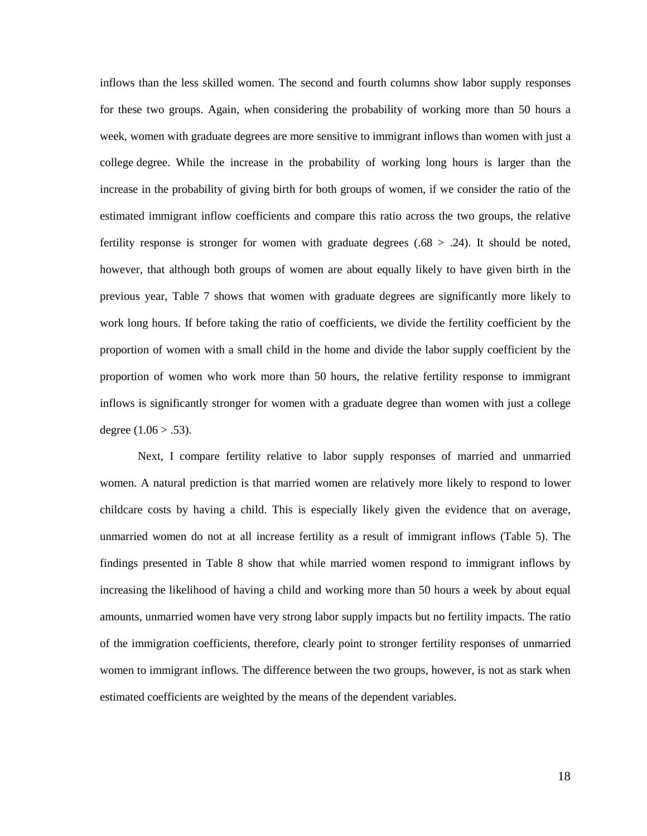inflows than the less skilled women. The second and fourth columns show labor supply responses for these two groups. Again, when considering the probability of working more than 50 hours a week, women with graduate degrees are more sensitive to immigrant inflows than women with just a college degree. While the increase in the probability of working long hours is larger than the increase in the probability of giving birth for both groups of women, if we consider the ratio of the estimated immigrant inflow coefficients and compare this ratio across the two groups, the relative fertility response is stronger for women with graduate degrees  $(.68 > .24)$ . It should be noted, however, that although both groups of women are about equally likely to have given birth in the previous year, Table 7 shows that women with graduate degrees are significantly more likely to work long hours. If before taking the ratio of coefficients, we divide the fertility coefficient by the proportion of women with a small child in the home and divide the labor supply coefficient by the proportion of women who work more than 50 hours, the relative fertility response to immigrant inflows is significantly stronger for women with a graduate degree than women with just a college degree  $(1.06 > .53)$ .

Next, I compare fertility relative to labor supply responses of married and unmarried women. A natural prediction is that married women are relatively more likely to respond to lower childcare costs by having a child. This is especially likely given the evidence that on average, unmarried women do not at all increase fertility as a result of immigrant inflows (Table 5). The findings presented in Table 8 show that while married women respond to immigrant inflows by increasing the likelihood of having a child and working more than 50 hours a week by about equal amounts, unmarried women have very strong labor supply impacts but no fertility impacts. The ratio of the immigration coefficients, therefore, clearly point to stronger fertility responses of unmarried women to immigrant inflows. The difference between the two groups, however, is not as stark when estimated coefficients are weighted by the means of the dependent variables.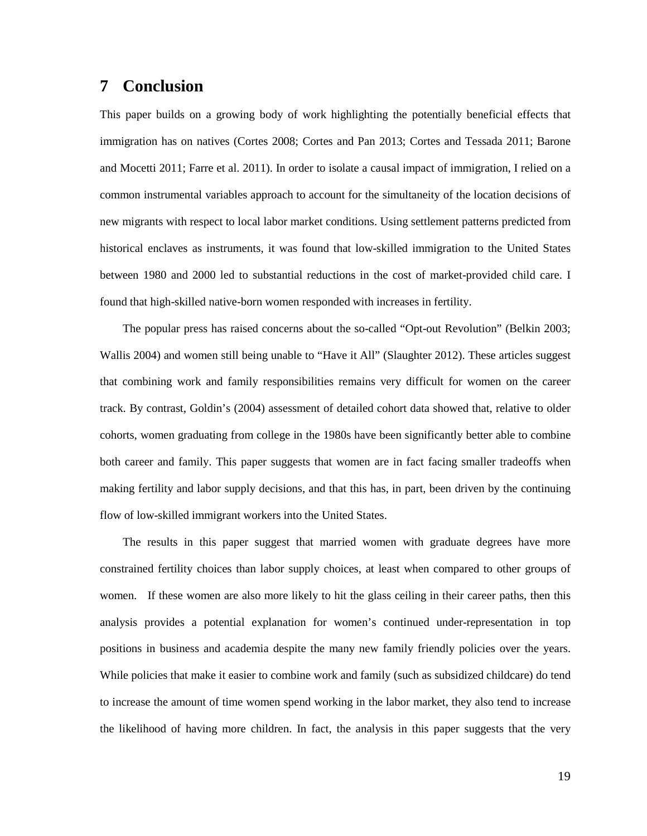### **7 Conclusion**

This paper builds on a growing body of work highlighting the potentially beneficial effects that immigration has on natives (Cortes 2008; Cortes and Pan 2013; Cortes and Tessada 2011; Barone and Mocetti 2011; Farre et al. 2011). In order to isolate a causal impact of immigration, I relied on a common instrumental variables approach to account for the simultaneity of the location decisions of new migrants with respect to local labor market conditions. Using settlement patterns predicted from historical enclaves as instruments, it was found that low-skilled immigration to the United States between 1980 and 2000 led to substantial reductions in the cost of market-provided child care. I found that high-skilled native-born women responded with increases in fertility.

The popular press has raised concerns about the so-called "Opt-out Revolution" (Belkin 2003; Wallis 2004) and women still being unable to "Have it All" (Slaughter 2012). These articles suggest that combining work and family responsibilities remains very difficult for women on the career track. By contrast, Goldin's (2004) assessment of detailed cohort data showed that, relative to older cohorts, women graduating from college in the 1980s have been significantly better able to combine both career and family. This paper suggests that women are in fact facing smaller tradeoffs when making fertility and labor supply decisions, and that this has, in part, been driven by the continuing flow of low-skilled immigrant workers into the United States.

The results in this paper suggest that married women with graduate degrees have more constrained fertility choices than labor supply choices, at least when compared to other groups of women. If these women are also more likely to hit the glass ceiling in their career paths, then this analysis provides a potential explanation for women's continued under-representation in top positions in business and academia despite the many new family friendly policies over the years. While policies that make it easier to combine work and family (such as subsidized childcare) do tend to increase the amount of time women spend working in the labor market, they also tend to increase the likelihood of having more children. In fact, the analysis in this paper suggests that the very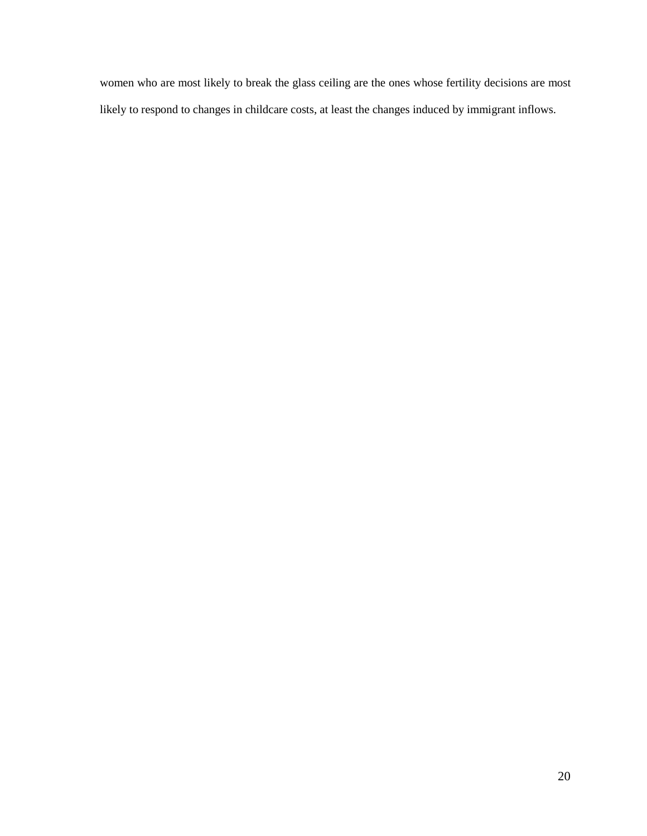women who are most likely to break the glass ceiling are the ones whose fertility decisions are most likely to respond to changes in childcare costs, at least the changes induced by immigrant inflows.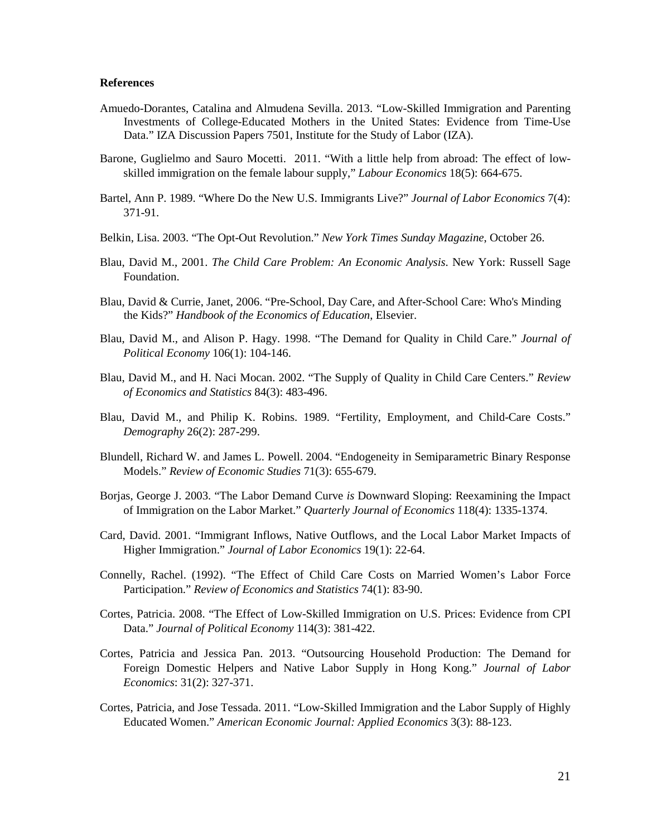#### **References**

- Amuedo-Dorantes, Catalina and Almudena Sevilla. 2013. "Low-Skilled Immigration and Parenting Investments of College-Educated Mothers in the United States: Evidence from Time-Use Data." IZA Discussion Papers 7501, Institute for the Study of Labor (IZA).
- Barone, Guglielmo and Sauro Mocetti. 2011. "With a little help from abroad: The effect of lowskilled immigration on the female labour supply," *Labour Economics* 18(5): 664-675.
- Bartel, Ann P. 1989. "Where Do the New U.S. Immigrants Live?" *Journal of Labor Economics* 7(4): 371-91.
- Belkin, Lisa. 2003. "The Opt-Out Revolution." *New York Times Sunday Magazine*, October 26.
- Blau, David M., 2001. *The Child Care Problem: An Economic Analysis*. New York: Russell Sage Foundation.
- Blau, David & Currie, Janet, 2006. "Pre-School, Day Care, and After-School Care: Who's Minding the Kids?" *Handbook of the Economics of Education*, Elsevier.
- Blau, David M., and Alison P. Hagy. 1998. "The Demand for Quality in Child Care." *Journal of Political Economy* 106(1): 104-146.
- Blau, David M., and H. Naci Mocan. 2002. "The Supply of Quality in Child Care Centers." *Review of Economics and Statistics* 84(3): 483-496.
- Blau, David M., and Philip K. Robins. 1989. "Fertility, Employment, and Child-Care Costs." *Demography* 26(2): 287-299.
- Blundell, Richard W. and James L. Powell. 2004. "Endogeneity in Semiparametric Binary Response Models." *Review of Economic Studies* 71(3): 655-679.
- Borjas, George J. 2003. "The Labor Demand Curve *is* Downward Sloping: Reexamining the Impact of Immigration on the Labor Market." *Quarterly Journal of Economics* 118(4): 1335-1374.
- Card, David. 2001. "Immigrant Inflows, Native Outflows, and the Local Labor Market Impacts of Higher Immigration." *Journal of Labor Economics* 19(1): 22-64.
- Connelly, Rachel. (1992). "The Effect of Child Care Costs on Married Women's Labor Force Participation." *Review of Economics and Statistics* 74(1): 83-90.
- Cortes, Patricia. 2008. "The Effect of Low-Skilled Immigration on U.S. Prices: Evidence from CPI Data." *Journal of Political Economy* 114(3): 381-422.
- Cortes, Patricia and Jessica Pan. 2013. "Outsourcing Household Production: The Demand for Foreign Domestic Helpers and Native Labor Supply in Hong Kong." *Journal of Labor Economics*: 31(2): 327-371.
- Cortes, Patricia, and Jose Tessada. 2011. "Low-Skilled Immigration and the Labor Supply of Highly Educated Women." *American Economic Journal: Applied Economics* 3(3): 88-123.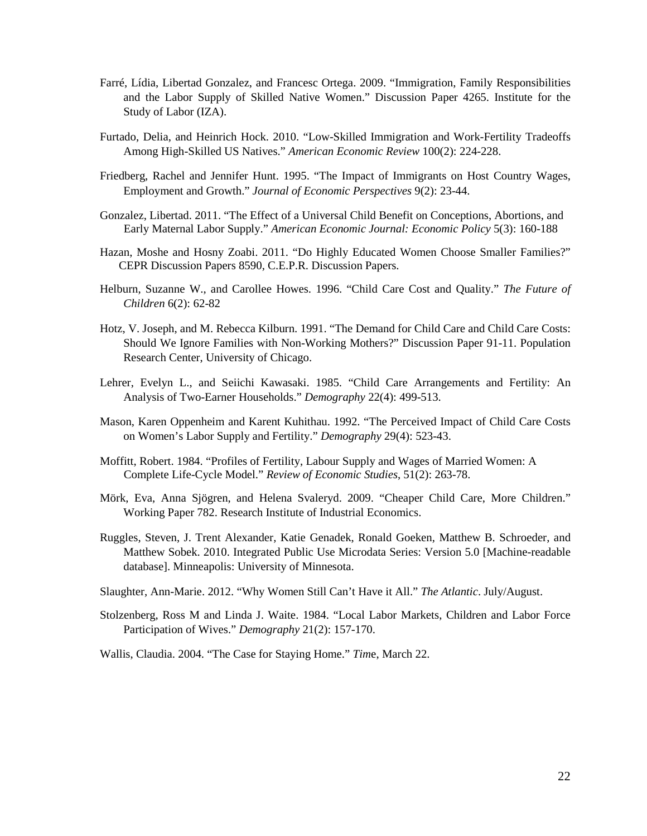- Farré, Lídia, Libertad Gonzalez, and Francesc Ortega. 2009. "Immigration, Family Responsibilities and the Labor Supply of Skilled Native Women." Discussion Paper 4265. Institute for the Study of Labor (IZA).
- Furtado, Delia, and Heinrich Hock. 2010. "Low-Skilled Immigration and Work-Fertility Tradeoffs Among High-Skilled US Natives." *American Economic Review* 100(2): 224-228.
- Friedberg, Rachel and Jennifer Hunt. 1995. "The Impact of Immigrants on Host Country Wages, Employment and Growth." *Journal of Economic Perspectives* 9(2): 23-44.
- Gonzalez, Libertad. 2011. "The Effect of a Universal Child Benefit on Conceptions, Abortions, and Early Maternal Labor Supply." *American Economic Journal: Economic Policy* 5(3): 160-188
- Hazan, Moshe and Hosny Zoabi. 2011. "Do Highly Educated Women Choose Smaller Families?" CEPR Discussion Papers 8590, C.E.P.R. Discussion Papers.
- Helburn, Suzanne W., and Carollee Howes. 1996. "Child Care Cost and Quality." *The Future of Children* 6(2): 62-82
- Hotz, V. Joseph, and M. Rebecca Kilburn. 1991. "The Demand for Child Care and Child Care Costs: Should We Ignore Families with Non-Working Mothers?" Discussion Paper 91-11. Population Research Center, University of Chicago.
- Lehrer, Evelyn L., and Seiichi Kawasaki. 1985. "Child Care Arrangements and Fertility: An Analysis of Two-Earner Households." *Demography* 22(4): 499-513.
- Mason, Karen Oppenheim and Karent Kuhithau. 1992. "The Perceived Impact of Child Care Costs on Women's Labor Supply and Fertility." *Demography* 29(4): 523-43.
- Moffitt, Robert. 1984. "Profiles of Fertility, Labour Supply and Wages of Married Women: A Complete Life-Cycle Model." *Review of Economic Studies*, 51(2): 263-78.
- Mörk, Eva, Anna Sjögren, and Helena Svaleryd. 2009. "Cheaper Child Care, More Children." Working Paper 782. Research Institute of Industrial Economics.
- Ruggles, Steven, J. Trent Alexander, Katie Genadek, Ronald Goeken, Matthew B. Schroeder, and Matthew Sobek. 2010. Integrated Public Use Microdata Series: Version 5.0 [Machine-readable database]. Minneapolis: University of Minnesota.
- Slaughter, Ann-Marie. 2012. "Why Women Still Can't Have it All." *The Atlantic*. July/August.
- Stolzenberg, Ross M and Linda J. Waite. 1984. "Local Labor Markets, Children and Labor Force Participation of Wives." *Demography* 21(2): 157-170.

Wallis, Claudia. 2004. "The Case for Staying Home." *Tim*e, March 22.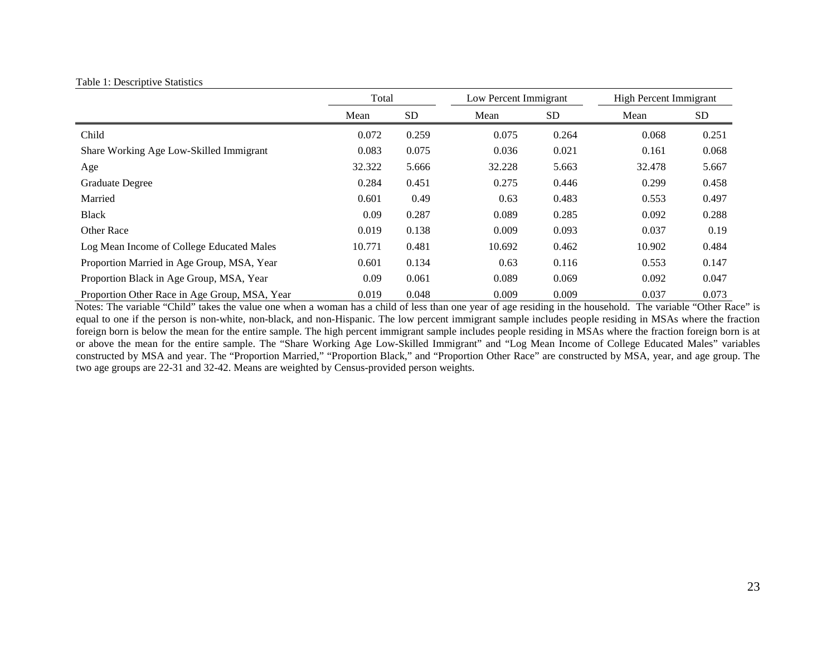#### Table 1: Descriptive Statistics

|                                               | Total  |           | Low Percent Immigrant |           | <b>High Percent Immigrant</b> |           |
|-----------------------------------------------|--------|-----------|-----------------------|-----------|-------------------------------|-----------|
|                                               | Mean   | <b>SD</b> | Mean                  | <b>SD</b> | Mean                          | <b>SD</b> |
| Child                                         | 0.072  | 0.259     | 0.075                 | 0.264     | 0.068                         | 0.251     |
| Share Working Age Low-Skilled Immigrant       | 0.083  | 0.075     | 0.036                 | 0.021     | 0.161                         | 0.068     |
| Age                                           | 32.322 | 5.666     | 32.228                | 5.663     | 32.478                        | 5.667     |
| <b>Graduate Degree</b>                        | 0.284  | 0.451     | 0.275                 | 0.446     | 0.299                         | 0.458     |
| Married                                       | 0.601  | 0.49      | 0.63                  | 0.483     | 0.553                         | 0.497     |
| <b>Black</b>                                  | 0.09   | 0.287     | 0.089                 | 0.285     | 0.092                         | 0.288     |
| Other Race                                    | 0.019  | 0.138     | 0.009                 | 0.093     | 0.037                         | 0.19      |
| Log Mean Income of College Educated Males     | 10.771 | 0.481     | 10.692                | 0.462     | 10.902                        | 0.484     |
| Proportion Married in Age Group, MSA, Year    | 0.601  | 0.134     | 0.63                  | 0.116     | 0.553                         | 0.147     |
| Proportion Black in Age Group, MSA, Year      | 0.09   | 0.061     | 0.089                 | 0.069     | 0.092                         | 0.047     |
| Proportion Other Race in Age Group, MSA, Year | 0.019  | 0.048     | 0.009                 | 0.009     | 0.037                         | 0.073     |

Notes: The variable "Child" takes the value one when a woman has a child of less than one year of age residing in the household. The variable "Other Race" is equal to one if the person is non-white, non-black, and non-Hispanic. The low percent immigrant sample includes people residing in MSAs where the fraction foreign born is below the mean for the entire sample. The high percent immigrant sample includes people residing in MSAs where the fraction foreign born is at or above the mean for the entire sample. The "Share Working Age Low-Skilled Immigrant" and "Log Mean Income of College Educated Males" variables constructed by MSA and year. The "Proportion Married," "Proportion Black," and "Proportion Other Race" are constructed by MSA, year, and age group. The two age groups are 22-31 and 32-42. Means are weighted by Census-provided person weights.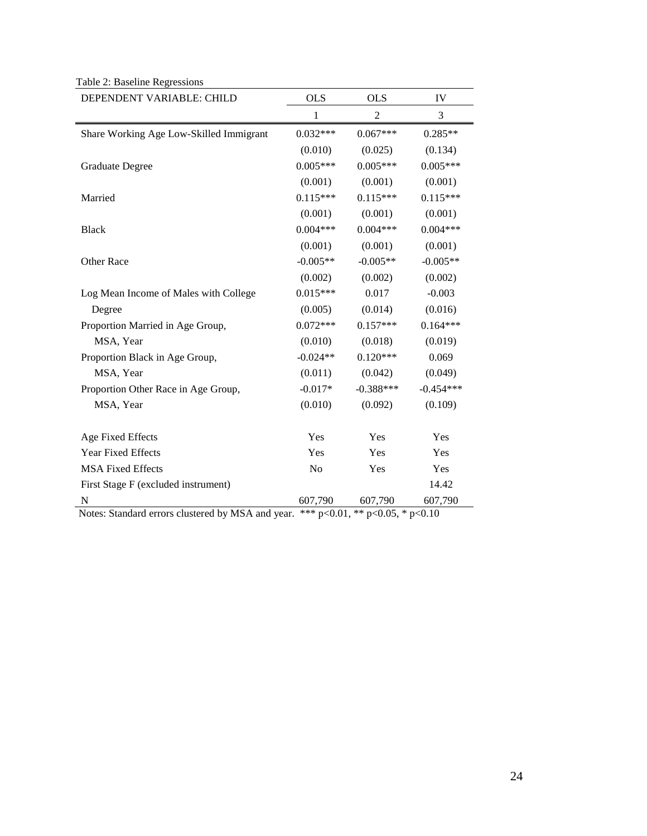| DEPENDENT VARIABLE: CHILD                                    | <b>OLS</b>     | <b>OLS</b>     | IV          |
|--------------------------------------------------------------|----------------|----------------|-------------|
|                                                              | 1              | $\mathfrak{2}$ | 3           |
| Share Working Age Low-Skilled Immigrant                      | $0.032***$     | $0.067***$     | $0.285**$   |
|                                                              | (0.010)        | (0.025)        | (0.134)     |
| <b>Graduate Degree</b>                                       | $0.005***$     | $0.005***$     | $0.005***$  |
|                                                              | (0.001)        | (0.001)        | (0.001)     |
| Married                                                      | $0.115***$     | $0.115***$     | $0.115***$  |
|                                                              | (0.001)        | (0.001)        | (0.001)     |
| <b>Black</b>                                                 | $0.004***$     | $0.004***$     | $0.004***$  |
|                                                              | (0.001)        | (0.001)        | (0.001)     |
| Other Race                                                   | $-0.005**$     | $-0.005**$     | $-0.005**$  |
|                                                              | (0.002)        | (0.002)        | (0.002)     |
| Log Mean Income of Males with College                        | $0.015***$     | 0.017          | $-0.003$    |
| Degree                                                       | (0.005)        | (0.014)        | (0.016)     |
| Proportion Married in Age Group,                             | $0.072***$     | $0.157***$     | $0.164***$  |
| MSA, Year                                                    | (0.010)        | (0.018)        | (0.019)     |
| Proportion Black in Age Group,                               | $-0.024**$     | $0.120***$     | 0.069       |
| MSA, Year                                                    | (0.011)        | (0.042)        | (0.049)     |
| Proportion Other Race in Age Group,                          | $-0.017*$      | $-0.388***$    | $-0.454***$ |
| MSA, Year                                                    | (0.010)        | (0.092)        | (0.109)     |
| Age Fixed Effects                                            | Yes            | Yes            | Yes         |
| Year Fixed Effects                                           | Yes            | Yes            | Yes         |
| <b>MSA Fixed Effects</b>                                     | N <sub>o</sub> | Yes            | Yes         |
| First Stage F (excluded instrument)                          |                |                | 14.42       |
| N<br>$\overline{1}$<br>1.1<br>$\blacksquare$<br>$\mathbf{X}$ | 607,790        | 607,790        | 607,790     |

Table 2: Baseline Regressions

Notes: Standard errors clustered by MSA and year. \*\*\* p<0.01, \*\* p<0.05, \* p<0.10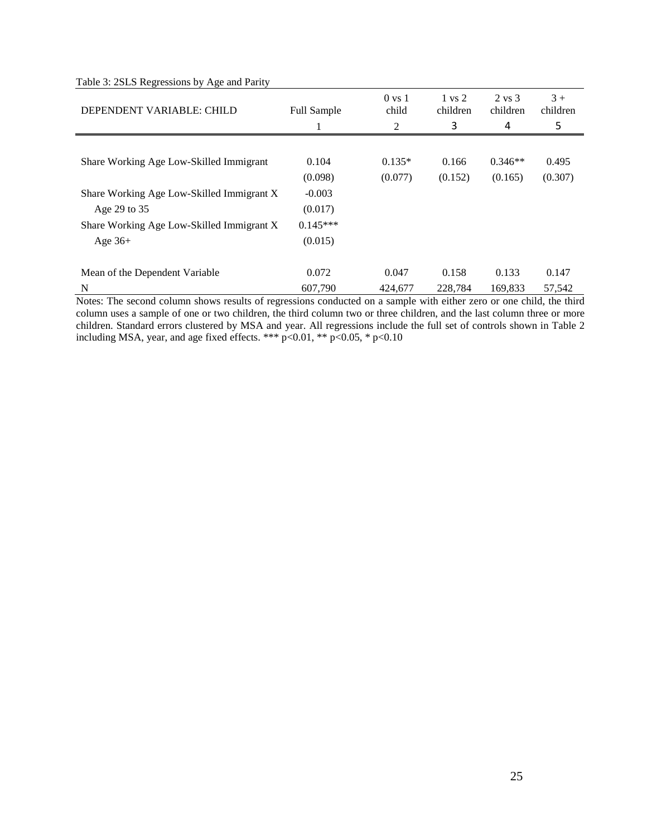|  |  |  | Table 3: 2SLS Regressions by Age and Parity |  |  |  |  |
|--|--|--|---------------------------------------------|--|--|--|--|
|--|--|--|---------------------------------------------|--|--|--|--|

| DEPENDENT VARIABLE: CHILD                 | <b>Full Sample</b> | $0 \text{ vs } 1$<br>child<br>2 | $1 \text{ vs } 2$<br>children<br>3 | $2 \text{ vs } 3$<br>children<br>4 | $3 +$<br>children<br>5 |
|-------------------------------------------|--------------------|---------------------------------|------------------------------------|------------------------------------|------------------------|
|                                           |                    |                                 |                                    |                                    |                        |
| Share Working Age Low-Skilled Immigrant   | 0.104              | $0.135*$                        | 0.166                              | $0.346**$                          | 0.495                  |
|                                           | (0.098)            | (0.077)                         | (0.152)                            | (0.165)                            | (0.307)                |
| Share Working Age Low-Skilled Immigrant X | $-0.003$           |                                 |                                    |                                    |                        |
| Age 29 to 35                              | (0.017)            |                                 |                                    |                                    |                        |
| Share Working Age Low-Skilled Immigrant X | $0.145***$         |                                 |                                    |                                    |                        |
| Age $36+$                                 | (0.015)            |                                 |                                    |                                    |                        |
|                                           |                    |                                 |                                    |                                    |                        |
| Mean of the Dependent Variable            | 0.072              | 0.047                           | 0.158                              | 0.133                              | 0.147                  |
| N                                         | 607,790            | 424,677                         | 228,784                            | 169,833                            | 57,542                 |

Notes: The second column shows results of regressions conducted on a sample with either zero or one child, the third column uses a sample of one or two children, the third column two or three children, and the last column three or more children. Standard errors clustered by MSA and year. All regressions include the full set of controls shown in Table 2 including MSA, year, and age fixed effects. \*\*\* p<0.01, \*\* p<0.05, \* p<0.10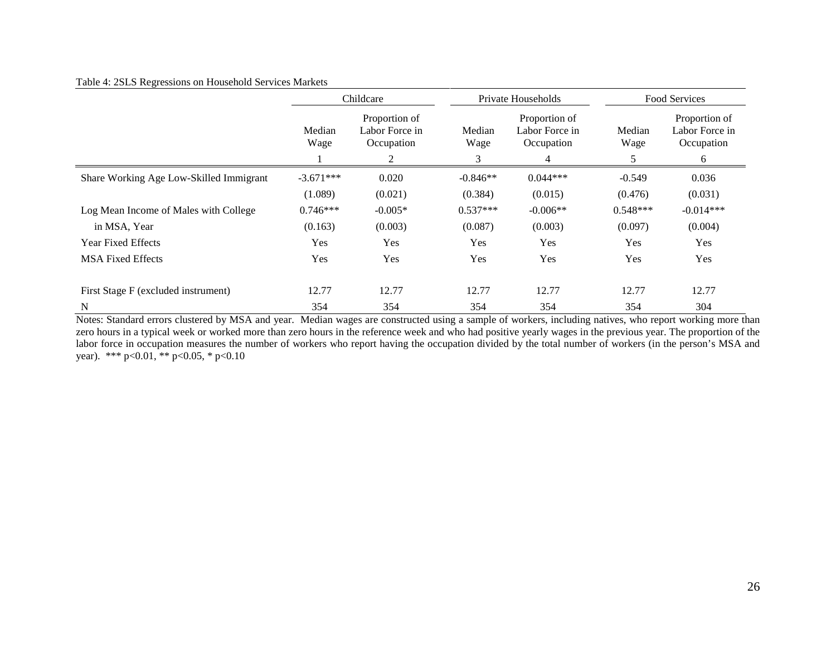#### Table 4: 2SLS Regressions on Household Services Markets

|                                         | Childcare      |                                                    |                                 | Private Households                                              |                | Food Services                                      |  |
|-----------------------------------------|----------------|----------------------------------------------------|---------------------------------|-----------------------------------------------------------------|----------------|----------------------------------------------------|--|
|                                         | Median<br>Wage | Proportion of<br>Labor Force in<br>Occupation<br>C | Median<br>Wage<br>$\mathcal{R}$ | Proportion of<br>Labor Force in<br>Occupation<br>$\overline{4}$ | Median<br>Wage | Proportion of<br>Labor Force in<br>Occupation<br>6 |  |
| Share Working Age Low-Skilled Immigrant | $-3.671***$    | 0.020                                              | $-0.846**$                      | $0.044***$                                                      | $-0.549$       | 0.036                                              |  |
|                                         | (1.089)        | (0.021)                                            | (0.384)                         | (0.015)                                                         | (0.476)        | (0.031)                                            |  |
| Log Mean Income of Males with College   | $0.746***$     | $-0.005*$                                          | $0.537***$                      | $-0.006**$                                                      | $0.548***$     | $-0.014***$                                        |  |
| in MSA, Year                            | (0.163)        | (0.003)                                            | (0.087)                         | (0.003)                                                         | (0.097)        | (0.004)                                            |  |
| <b>Year Fixed Effects</b>               | Yes            | Yes                                                | Yes                             | Yes                                                             | Yes            | Yes                                                |  |
| <b>MSA Fixed Effects</b>                | Yes            | Yes                                                | Yes                             | Yes                                                             | Yes            | Yes                                                |  |
| First Stage F (excluded instrument)     | 12.77          | 12.77                                              | 12.77                           | 12.77                                                           | 12.77          | 12.77                                              |  |
| $\mathbf N$                             | 354            | 354                                                | 354                             | 354                                                             | 354            | 304                                                |  |

Notes: Standard errors clustered by MSA and year. Median wages are constructed using a sample of workers, including natives, who report working more than zero hours in a typical week or worked more than zero hours in the reference week and who had positive yearly wages in the previous year. The proportion of the labor force in occupation measures the number of workers who report having the occupation divided by the total number of workers (in the person's MSA and year). \*\*\* p<0.01, \*\* p<0.05, \* p<0.10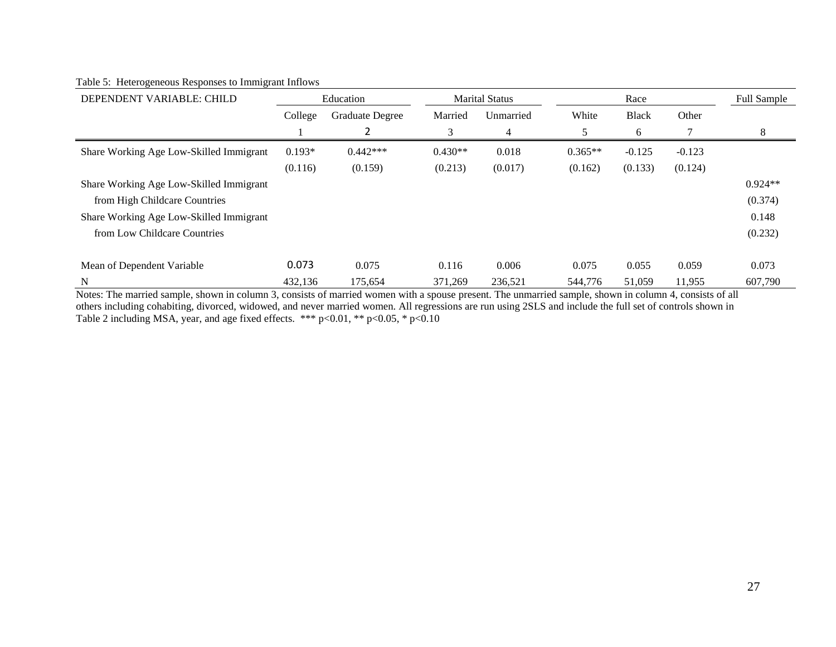### Table 5: Heterogeneous Responses to Immigrant Inflows

| DEPENDENT VARIABLE: CHILD               | Education |                 | <b>Marital Status</b> |           | Race      |              |          | Full Sample |
|-----------------------------------------|-----------|-----------------|-----------------------|-----------|-----------|--------------|----------|-------------|
|                                         | College   | Graduate Degree | Married               | Unmarried | White     | <b>Black</b> | Other    |             |
|                                         |           | 2               | 3                     | 4         | 5         | 6            |          | 8           |
| Share Working Age Low-Skilled Immigrant | $0.193*$  | $0.442***$      | $0.430**$             | 0.018     | $0.365**$ | $-0.125$     | $-0.123$ |             |
|                                         | (0.116)   | (0.159)         | (0.213)               | (0.017)   | (0.162)   | (0.133)      | (0.124)  |             |
| Share Working Age Low-Skilled Immigrant |           |                 |                       |           |           |              |          | $0.924**$   |
| from High Childcare Countries           |           |                 |                       |           |           |              |          | (0.374)     |
| Share Working Age Low-Skilled Immigrant |           |                 |                       |           |           |              |          | 0.148       |
| from Low Childcare Countries            |           |                 |                       |           |           |              |          | (0.232)     |
| Mean of Dependent Variable              | 0.073     | 0.075           | 0.116                 | 0.006     | 0.075     | 0.055        | 0.059    | 0.073       |
| N                                       | 432.136   | 175.654         | 371.269               | 236.521   | 544,776   | 51.059       | 11,955   | 607.790     |

Notes: The married sample, shown in column 3, consists of married women with a spouse present. The unmarried sample, shown in column 4, consists of all others including cohabiting, divorced, widowed, and never married women. All regressions are run using 2SLS and include the full set of controls shown in Table 2 including MSA, year, and age fixed effects. \*\*\* p<0.01, \*\* p<0.05, \* p<0.10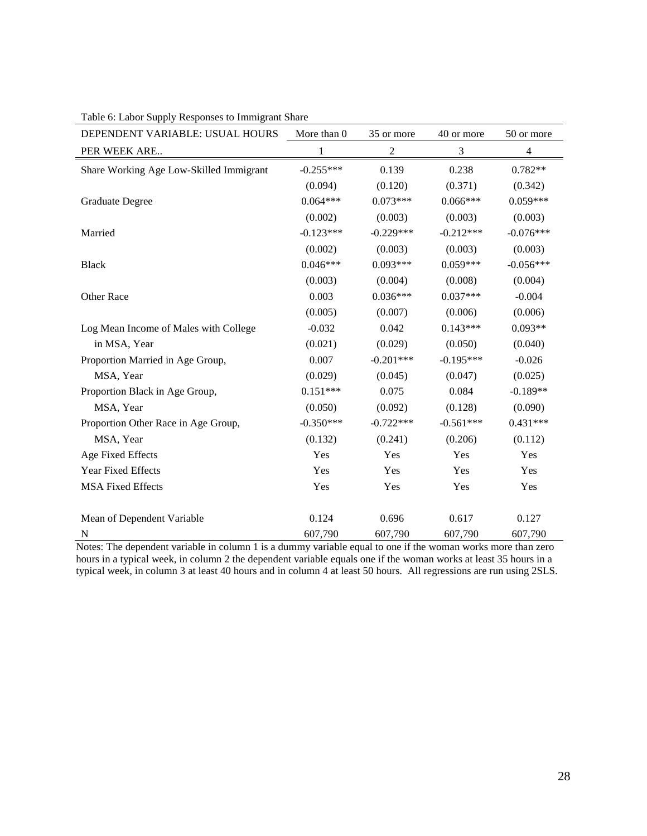| DEPENDENT VARIABLE: USUAL HOURS         | More than 0 | 35 or more       | 40 or more  | 50 or more     |
|-----------------------------------------|-------------|------------------|-------------|----------------|
| PER WEEK ARE                            | 1           | $\boldsymbol{2}$ | 3           | $\overline{4}$ |
| Share Working Age Low-Skilled Immigrant | $-0.255***$ | 0.139            | 0.238       | $0.782**$      |
|                                         | (0.094)     | (0.120)          | (0.371)     | (0.342)        |
| <b>Graduate Degree</b>                  | $0.064***$  | $0.073***$       | $0.066***$  | $0.059***$     |
|                                         | (0.002)     | (0.003)          | (0.003)     | (0.003)        |
| Married                                 | $-0.123***$ | $-0.229***$      | $-0.212***$ | $-0.076***$    |
|                                         | (0.002)     | (0.003)          | (0.003)     | (0.003)        |
| <b>Black</b>                            | $0.046***$  | $0.093***$       | $0.059***$  | $-0.056***$    |
|                                         | (0.003)     | (0.004)          | (0.008)     | (0.004)        |
| Other Race                              | 0.003       | $0.036***$       | $0.037***$  | $-0.004$       |
|                                         | (0.005)     | (0.007)          | (0.006)     | (0.006)        |
| Log Mean Income of Males with College   | $-0.032$    | 0.042            | $0.143***$  | $0.093**$      |
| in MSA, Year                            | (0.021)     | (0.029)          | (0.050)     | (0.040)        |
| Proportion Married in Age Group,        | 0.007       | $-0.201***$      | $-0.195***$ | $-0.026$       |
| MSA, Year                               | (0.029)     | (0.045)          | (0.047)     | (0.025)        |
| Proportion Black in Age Group,          | $0.151***$  | 0.075            | 0.084       | $-0.189**$     |
| MSA, Year                               | (0.050)     | (0.092)          | (0.128)     | (0.090)        |
| Proportion Other Race in Age Group,     | $-0.350***$ | $-0.722***$      | $-0.561***$ | $0.431***$     |
| MSA, Year                               | (0.132)     | (0.241)          | (0.206)     | (0.112)        |
| Age Fixed Effects                       | Yes         | Yes              | Yes         | Yes            |
| <b>Year Fixed Effects</b>               | Yes         | Yes              | Yes         | Yes            |
| <b>MSA Fixed Effects</b>                | Yes         | Yes              | Yes         | Yes            |
| Mean of Dependent Variable              | 0.124       | 0.696            | 0.617       | 0.127          |
| N                                       | 607,790     | 607,790          | 607,790     | 607,790        |

Table 6: Labor Supply Responses to Immigrant Share

Notes: The dependent variable in column 1 is a dummy variable equal to one if the woman works more than zero hours in a typical week, in column 2 the dependent variable equals one if the woman works at least 35 hours in a typical week, in column 3 at least 40 hours and in column 4 at least 50 hours. All regressions are run using 2SLS.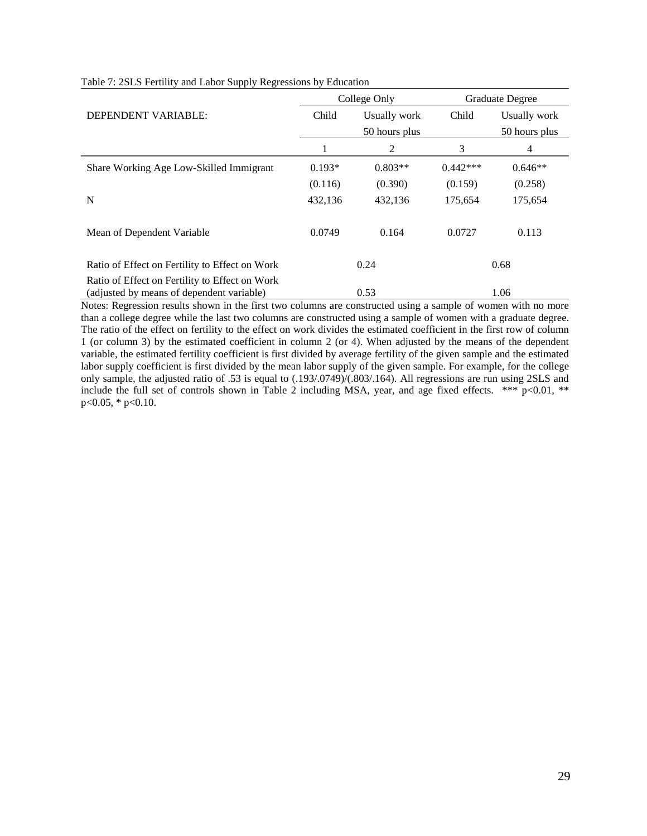|                                                                                             |          | College Only  | <b>Graduate Degree</b> |               |  |
|---------------------------------------------------------------------------------------------|----------|---------------|------------------------|---------------|--|
| DEPENDENT VARIABLE:                                                                         | Child    | Usually work  | Child                  | Usually work  |  |
|                                                                                             |          | 50 hours plus |                        | 50 hours plus |  |
|                                                                                             |          | 2             | 3                      | 4             |  |
| Share Working Age Low-Skilled Immigrant                                                     | $0.193*$ | $0.803**$     | $0.442***$             | $0.646**$     |  |
|                                                                                             | (0.116)  | (0.390)       | (0.159)                | (0.258)       |  |
| N                                                                                           | 432,136  | 432,136       | 175,654                | 175,654       |  |
| Mean of Dependent Variable                                                                  | 0.0749   | 0.164         | 0.0727                 | 0.113         |  |
| Ratio of Effect on Fertility to Effect on Work                                              |          | 0.24          |                        | 0.68          |  |
| Ratio of Effect on Fertility to Effect on Work<br>(adjusted by means of dependent variable) |          | 0.53          |                        | 1.06          |  |

#### Table 7: 2SLS Fertility and Labor Supply Regressions by Education

Notes: Regression results shown in the first two columns are constructed using a sample of women with no more than a college degree while the last two columns are constructed using a sample of women with a graduate degree. The ratio of the effect on fertility to the effect on work divides the estimated coefficient in the first row of column 1 (or column 3) by the estimated coefficient in column 2 (or 4). When adjusted by the means of the dependent variable, the estimated fertility coefficient is first divided by average fertility of the given sample and the estimated labor supply coefficient is first divided by the mean labor supply of the given sample. For example, for the college only sample, the adjusted ratio of .53 is equal to (.193/.0749)/(.803/.164). All regressions are run using 2SLS and include the full set of controls shown in Table 2 including MSA, year, and age fixed effects. \*\*\*  $p<0.01$ , \*\*  $p<0.05$ , \*  $p<0.10$ .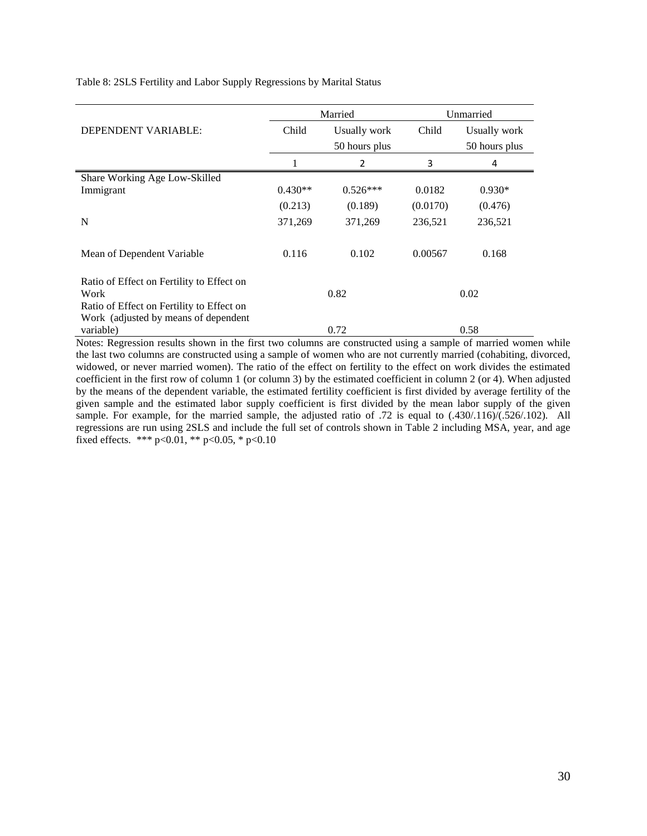|                                                                                   |           | Married       | Unmarried |               |  |
|-----------------------------------------------------------------------------------|-----------|---------------|-----------|---------------|--|
| DEPENDENT VARIABLE:                                                               | Child     | Usually work  | Child     | Usually work  |  |
|                                                                                   |           | 50 hours plus |           | 50 hours plus |  |
|                                                                                   |           | 2             | 3         | 4             |  |
| Share Working Age Low-Skilled                                                     |           |               |           |               |  |
| Immigrant                                                                         | $0.430**$ | $0.526***$    | 0.0182    | $0.930*$      |  |
|                                                                                   | (0.213)   | (0.189)       | (0.0170)  | (0.476)       |  |
| N                                                                                 | 371,269   | 371,269       | 236,521   | 236,521       |  |
| Mean of Dependent Variable                                                        | 0.116     | 0.102         | 0.00567   | 0.168         |  |
| Ratio of Effect on Fertility to Effect on<br>Work                                 |           | 0.82          |           | 0.02          |  |
| Ratio of Effect on Fertility to Effect on<br>Work (adjusted by means of dependent |           |               |           |               |  |
| variable)                                                                         |           | 0.72          |           | 0.58          |  |

Notes: Regression results shown in the first two columns are constructed using a sample of married women while the last two columns are constructed using a sample of women who are not currently married (cohabiting, divorced, widowed, or never married women). The ratio of the effect on fertility to the effect on work divides the estimated coefficient in the first row of column 1 (or column 3) by the estimated coefficient in column 2 (or 4). When adjusted by the means of the dependent variable, the estimated fertility coefficient is first divided by average fertility of the given sample and the estimated labor supply coefficient is first divided by the mean labor supply of the given sample. For example, for the married sample, the adjusted ratio of .72 is equal to (.430/.116)/(.526/.102). All regressions are run using 2SLS and include the full set of controls shown in Table 2 including MSA, year, and age fixed effects. \*\*\* p<0.01, \*\* p<0.05, \* p<0.10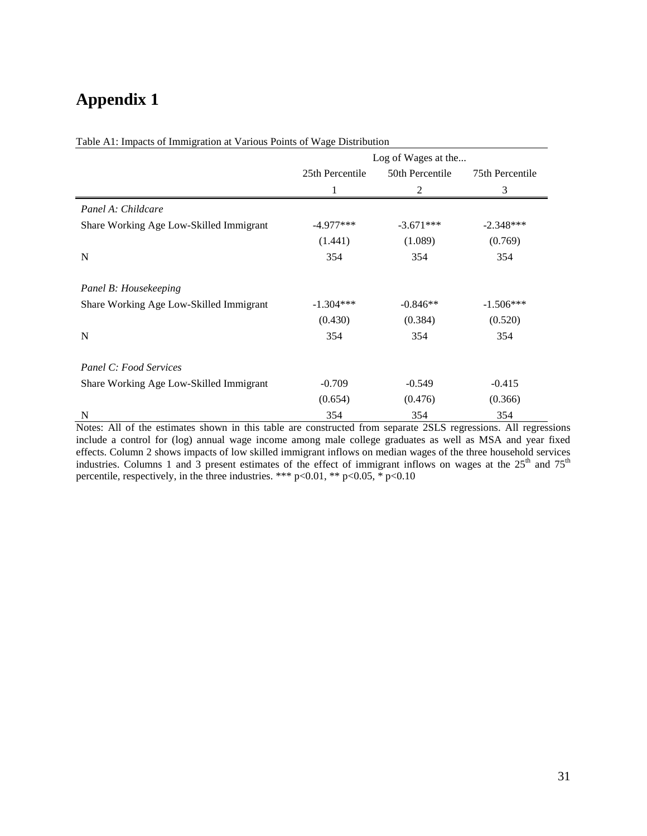# **Appendix 1**

|                                         | Log of Wages at the |                 |                 |  |  |
|-----------------------------------------|---------------------|-----------------|-----------------|--|--|
|                                         | 25th Percentile     | 50th Percentile | 75th Percentile |  |  |
|                                         |                     | 2               | 3               |  |  |
| Panel A: Childcare                      |                     |                 |                 |  |  |
| Share Working Age Low-Skilled Immigrant | $-4.977***$         | $-3.671***$     | $-2.348***$     |  |  |
|                                         | (1.441)             | (1.089)         | (0.769)         |  |  |
| N                                       | 354                 | 354             | 354             |  |  |
| Panel B: Housekeeping                   |                     |                 |                 |  |  |
| Share Working Age Low-Skilled Immigrant | $-1.304***$         | $-0.846**$      | $-1.506***$     |  |  |
|                                         | (0.430)             | (0.384)         | (0.520)         |  |  |
| $\mathbf N$                             | 354                 | 354             | 354             |  |  |
| Panel C: Food Services                  |                     |                 |                 |  |  |
| Share Working Age Low-Skilled Immigrant | $-0.709$            | $-0.549$        | $-0.415$        |  |  |
|                                         | (0.654)             | (0.476)         | (0.366)         |  |  |
| N                                       | 354                 | 354             | 354             |  |  |

Table A1: Impacts of Immigration at Various Points of Wage Distribution

Notes: All of the estimates shown in this table are constructed from separate 2SLS regressions. All regressions include a control for (log) annual wage income among male college graduates as well as MSA and year fixed effects. Column 2 shows impacts of low skilled immigrant inflows on median wages of the three household services industries. Columns 1 and 3 present estimates of the effect of immigrant inflows on wages at the  $25<sup>th</sup>$  and  $75<sup>th</sup>$ percentile, respectively, in the three industries. \*\*\* p<0.01, \*\* p<0.05, \* p<0.10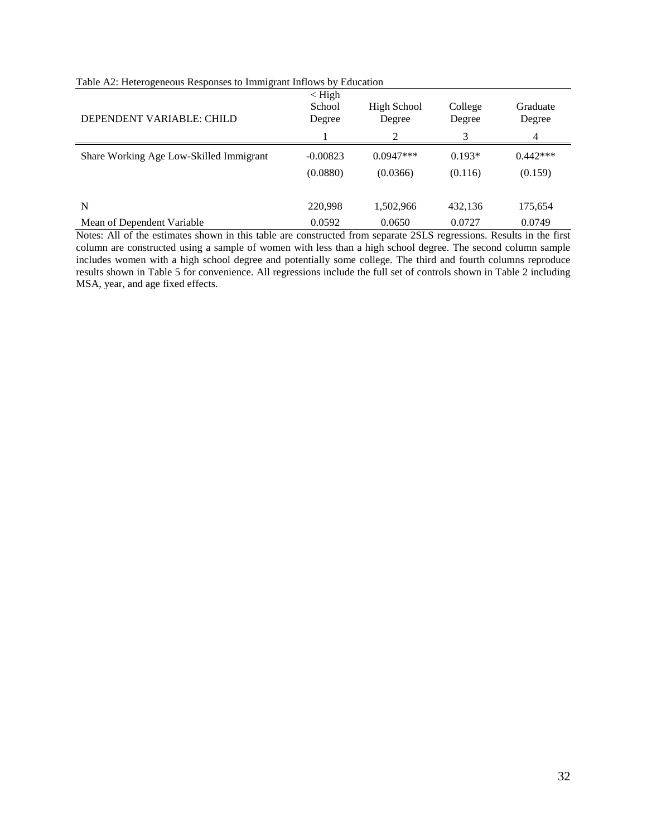| DEPENDENT VARIABLE: CHILD               | $\langle$ High<br>School<br>Degree | High School<br>Degree<br>2 | College<br>Degree<br>3 | Graduate<br>Degree<br>4 |
|-----------------------------------------|------------------------------------|----------------------------|------------------------|-------------------------|
| Share Working Age Low-Skilled Immigrant | $-0.00823$<br>(0.0880)             | $0.0947***$<br>(0.0366)    | $0.193*$<br>(0.116)    | $0.442***$<br>(0.159)   |
| N<br>Mean of Dependent Variable         | 220,998<br>0.0592                  | 1,502,966<br>0.0650        | 432,136<br>0.0727      | 175,654<br>0.0749       |

#### Table A2: Heterogeneous Responses to Immigrant Inflows by Education

Notes: All of the estimates shown in this table are constructed from separate 2SLS regressions. Results in the first column are constructed using a sample of women with less than a high school degree. The second column sample includes women with a high school degree and potentially some college. The third and fourth columns reproduce results shown in Table 5 for convenience. All regressions include the full set of controls shown in Table 2 including MSA, year, and age fixed effects.